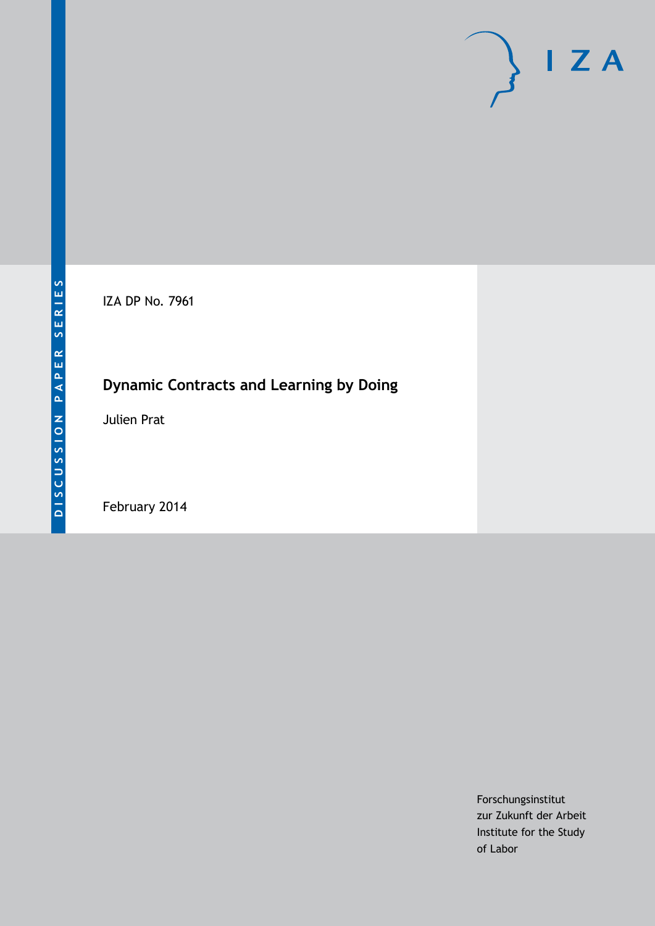IZA DP No. 7961

## **Dynamic Contracts and Learning by Doing**

Julien Prat

February 2014

Forschungsinstitut zur Zukunft der Arbeit Institute for the Study of Labor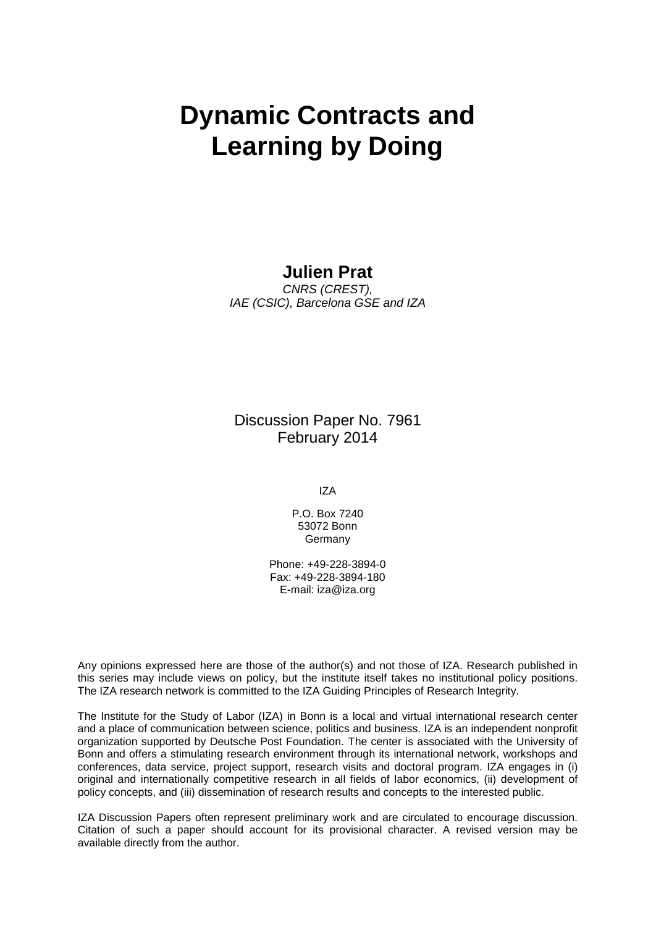# **Dynamic Contracts and Learning by Doing**

### **Julien Prat**

*CNRS (CREST), IAE (CSIC), Barcelona GSE and IZA*

Discussion Paper No. 7961 February 2014

IZA

P.O. Box 7240 53072 Bonn Germany

Phone: +49-228-3894-0 Fax: +49-228-3894-180 E-mail: [iza@iza.org](mailto:iza@iza.org)

Any opinions expressed here are those of the author(s) and not those of IZA. Research published in this series may include views on policy, but the institute itself takes no institutional policy positions. The IZA research network is committed to the IZA Guiding Principles of Research Integrity.

The Institute for the Study of Labor (IZA) in Bonn is a local and virtual international research center and a place of communication between science, politics and business. IZA is an independent nonprofit organization supported by Deutsche Post Foundation. The center is associated with the University of Bonn and offers a stimulating research environment through its international network, workshops and conferences, data service, project support, research visits and doctoral program. IZA engages in (i) original and internationally competitive research in all fields of labor economics, (ii) development of policy concepts, and (iii) dissemination of research results and concepts to the interested public.

<span id="page-1-0"></span>IZA Discussion Papers often represent preliminary work and are circulated to encourage discussion. Citation of such a paper should account for its provisional character. A revised version may be available directly from the author.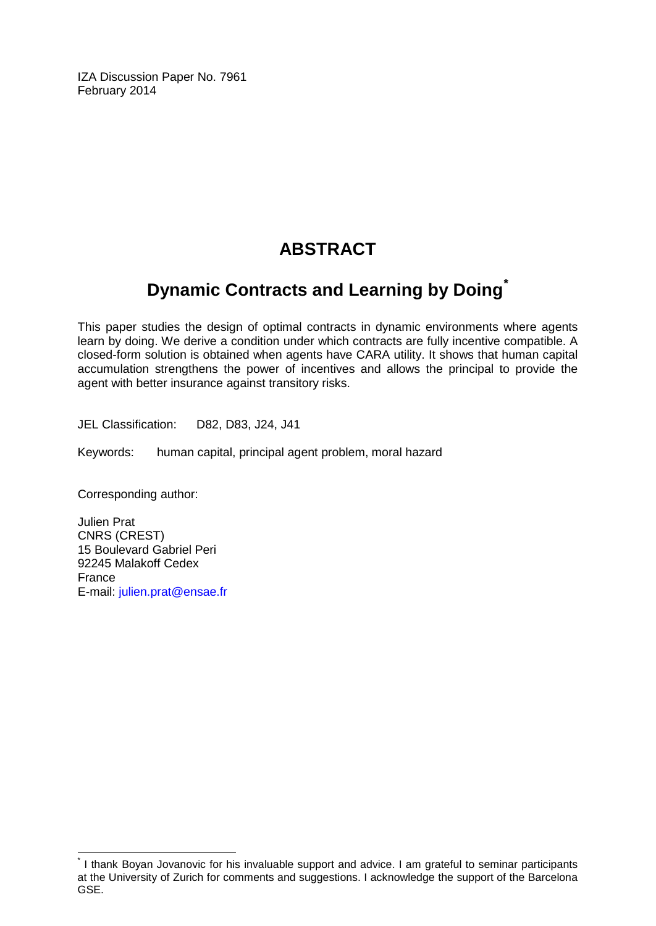IZA Discussion Paper No. 7961 February 2014

## **ABSTRACT**

## **Dynamic Contracts and Learning by Doing[\\*](#page-1-0)**

This paper studies the design of optimal contracts in dynamic environments where agents learn by doing. We derive a condition under which contracts are fully incentive compatible. A closed-form solution is obtained when agents have CARA utility. It shows that human capital accumulation strengthens the power of incentives and allows the principal to provide the agent with better insurance against transitory risks.

JEL Classification: D82, D83, J24, J41

Keywords: human capital, principal agent problem, moral hazard

Corresponding author:

Julien Prat CNRS (CREST) 15 Boulevard Gabriel Peri 92245 Malakoff Cedex France E-mail: [julien.prat@ensae.fr](mailto:julien.prat@ensae.fr)

\* I thank Boyan Jovanovic for his invaluable support and advice. I am grateful to seminar participants at the University of Zurich for comments and suggestions. I acknowledge the support of the Barcelona GSE.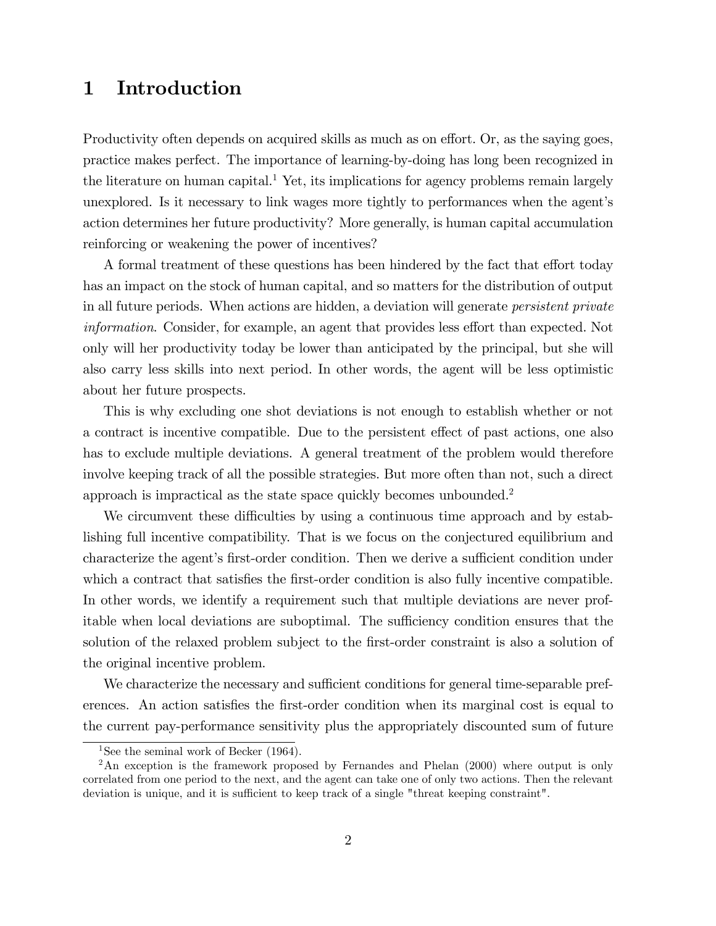## 1 Introduction

Productivity often depends on acquired skills as much as on effort. Or, as the saying goes, practice makes perfect. The importance of learning-by-doing has long been recognized in the literature on human capital.<sup>1</sup> Yet, its implications for agency problems remain largely unexplored. Is it necessary to link wages more tightly to performances when the agent's action determines her future productivity? More generally, is human capital accumulation reinforcing or weakening the power of incentives?

A formal treatment of these questions has been hindered by the fact that effort today has an impact on the stock of human capital, and so matters for the distribution of output in all future periods. When actions are hidden, a deviation will generate persistent private information. Consider, for example, an agent that provides less effort than expected. Not only will her productivity today be lower than anticipated by the principal, but she will also carry less skills into next period. In other words, the agent will be less optimistic about her future prospects.

This is why excluding one shot deviations is not enough to establish whether or not a contract is incentive compatible. Due to the persistent effect of past actions, one also has to exclude multiple deviations. A general treatment of the problem would therefore involve keeping track of all the possible strategies. But more often than not, such a direct approach is impractical as the state space quickly becomes unbounded.<sup>2</sup>

We circumvent these difficulties by using a continuous time approach and by establishing full incentive compatibility. That is we focus on the conjectured equilibrium and characterize the agent's first-order condition. Then we derive a sufficient condition under which a contract that satisfies the first-order condition is also fully incentive compatible. In other words, we identify a requirement such that multiple deviations are never profitable when local deviations are suboptimal. The sufficiency condition ensures that the solution of the relaxed problem subject to the first-order constraint is also a solution of the original incentive problem.

We characterize the necessary and sufficient conditions for general time-separable preferences. An action satisfies the first-order condition when its marginal cost is equal to the current pay-performance sensitivity plus the appropriately discounted sum of future

<sup>&</sup>lt;sup>1</sup>See the seminal work of Becker  $(1964)$ .

<sup>&</sup>lt;sup>2</sup>An exception is the framework proposed by Fernandes and Phelan (2000) where output is only correlated from one period to the next, and the agent can take one of only two actions. Then the relevant deviation is unique, and it is sufficient to keep track of a single "threat keeping constraint".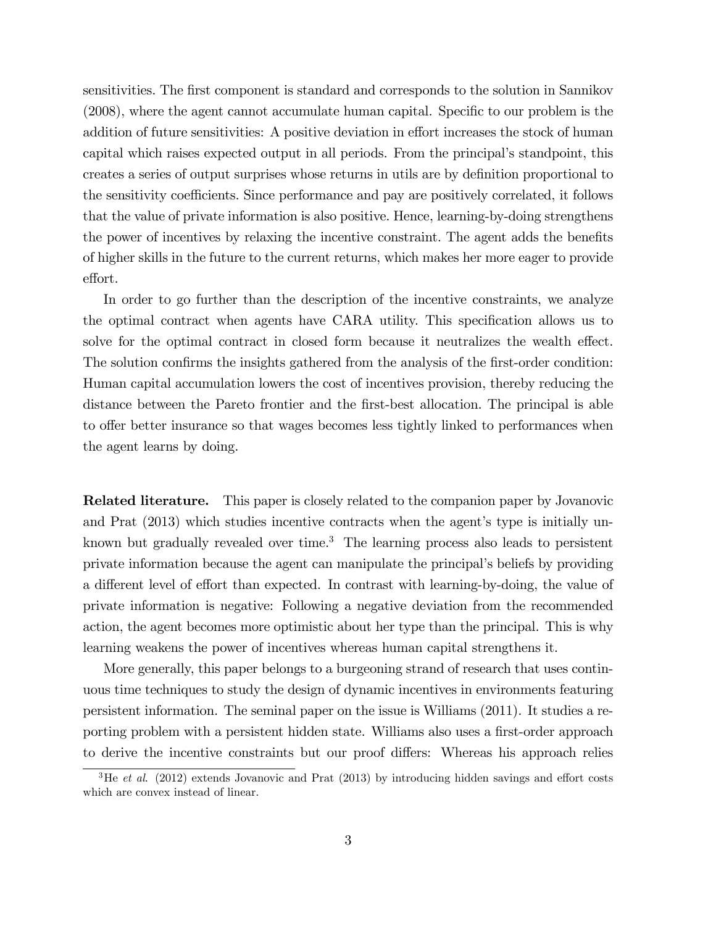sensitivities. The first component is standard and corresponds to the solution in Sannikov  $(2008)$ , where the agent cannot accumulate human capital. Specific to our problem is the addition of future sensitivities: A positive deviation in effort increases the stock of human capital which raises expected output in all periods. From the principal's standpoint, this creates a series of output surprises whose returns in utils are by deÖnition proportional to the sensitivity coefficients. Since performance and pay are positively correlated, it follows that the value of private information is also positive. Hence, learning-by-doing strengthens the power of incentives by relaxing the incentive constraint. The agent adds the benefits of higher skills in the future to the current returns, which makes her more eager to provide effort.

In order to go further than the description of the incentive constraints, we analyze the optimal contract when agents have CARA utility. This specification allows us to solve for the optimal contract in closed form because it neutralizes the wealth effect. The solution confirms the insights gathered from the analysis of the first-order condition: Human capital accumulation lowers the cost of incentives provision, thereby reducing the distance between the Pareto frontier and the first-best allocation. The principal is able to offer better insurance so that wages becomes less tightly linked to performances when the agent learns by doing.

Related literature. This paper is closely related to the companion paper by Jovanovic and Prat  $(2013)$  which studies incentive contracts when the agent's type is initially unknown but gradually revealed over time.<sup>3</sup> The learning process also leads to persistent private information because the agent can manipulate the principalís beliefs by providing a different level of effort than expected. In contrast with learning-by-doing, the value of private information is negative: Following a negative deviation from the recommended action, the agent becomes more optimistic about her type than the principal. This is why learning weakens the power of incentives whereas human capital strengthens it.

More generally, this paper belongs to a burgeoning strand of research that uses continuous time techniques to study the design of dynamic incentives in environments featuring persistent information. The seminal paper on the issue is Williams (2011). It studies a reporting problem with a persistent hidden state. Williams also uses a first-order approach to derive the incentive constraints but our proof differs: Whereas his approach relies

<sup>&</sup>lt;sup>3</sup>He et al. (2012) extends Jovanovic and Prat (2013) by introducing hidden savings and effort costs which are convex instead of linear.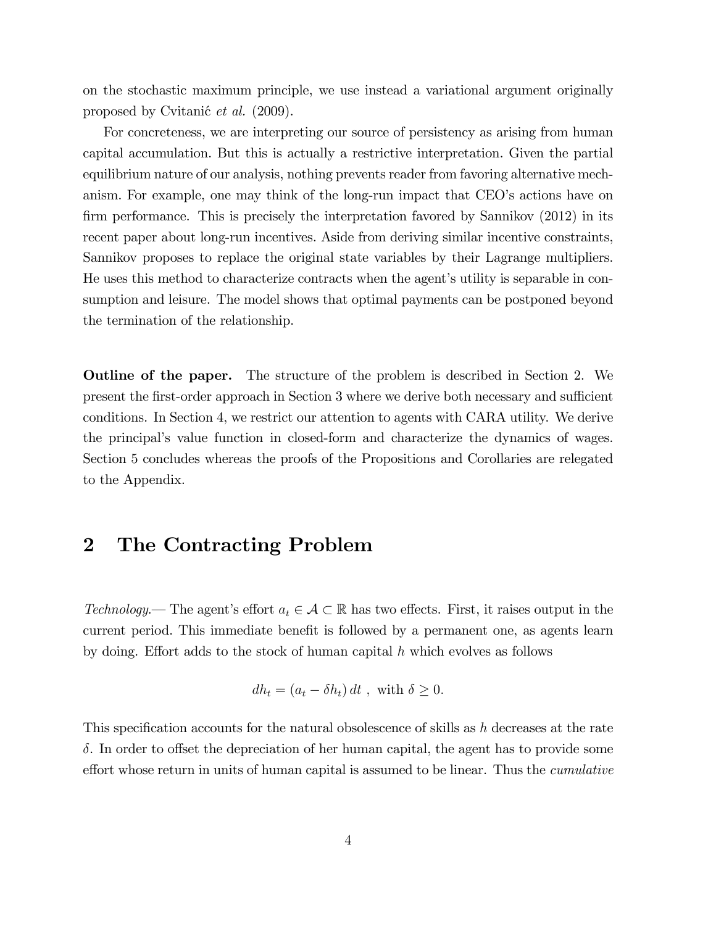on the stochastic maximum principle, we use instead a variational argument originally proposed by Cvitanić *et al.* (2009).

For concreteness, we are interpreting our source of persistency as arising from human capital accumulation. But this is actually a restrictive interpretation. Given the partial equilibrium nature of our analysis, nothing prevents reader from favoring alternative mechanism. For example, one may think of the long-run impact that CEO's actions have on firm performance. This is precisely the interpretation favored by Sannikov (2012) in its recent paper about long-run incentives. Aside from deriving similar incentive constraints, Sannikov proposes to replace the original state variables by their Lagrange multipliers. He uses this method to characterize contracts when the agent's utility is separable in consumption and leisure. The model shows that optimal payments can be postponed beyond the termination of the relationship.

Outline of the paper. The structure of the problem is described in Section 2. We present the first-order approach in Section 3 where we derive both necessary and sufficient conditions. In Section 4, we restrict our attention to agents with CARA utility. We derive the principalís value function in closed-form and characterize the dynamics of wages. Section 5 concludes whereas the proofs of the Propositions and Corollaries are relegated to the Appendix.

### 2 The Contracting Problem

Technology. The agent's effort  $a_t \in \mathcal{A} \subset \mathbb{R}$  has two effects. First, it raises output in the current period. This immediate benefit is followed by a permanent one, as agents learn by doing. Effort adds to the stock of human capital  $h$  which evolves as follows

$$
dh_t = (a_t - \delta h_t) dt , \text{ with } \delta \ge 0.
$$

This specification accounts for the natural obsolescence of skills as  $h$  decreases at the rate  $\delta$ . In order to offset the depreciation of her human capital, the agent has to provide some effort whose return in units of human capital is assumed to be linear. Thus the *cumulative*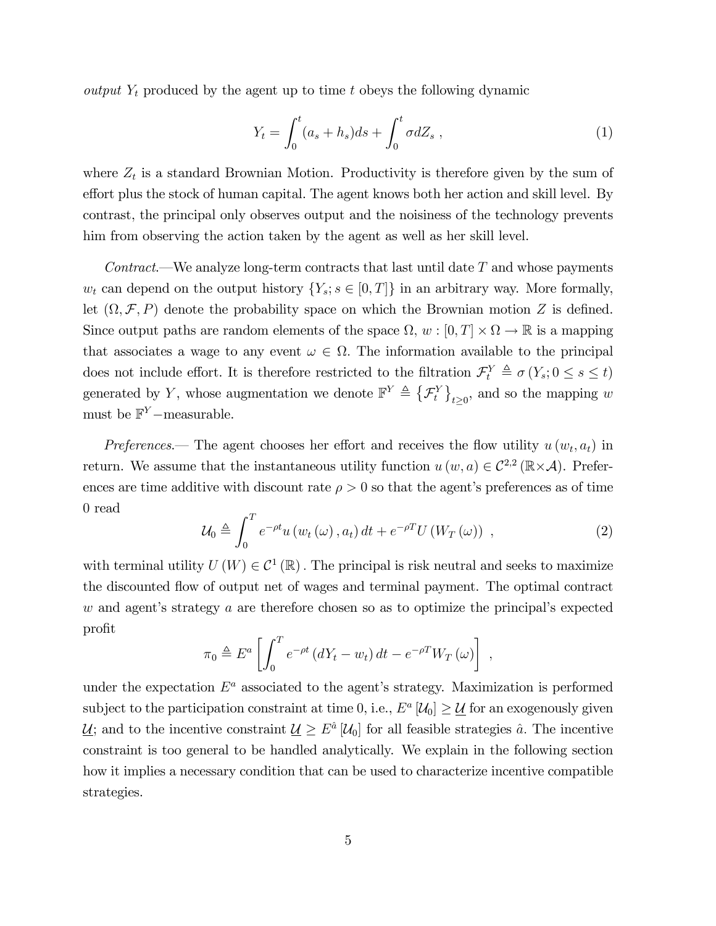output  $Y_t$  produced by the agent up to time t obeys the following dynamic

$$
Y_t = \int_0^t (a_s + h_s)ds + \int_0^t \sigma dZ_s , \qquad (1)
$$

where  $Z_t$  is a standard Brownian Motion. Productivity is therefore given by the sum of effort plus the stock of human capital. The agent knows both her action and skill level. By contrast, the principal only observes output and the noisiness of the technology prevents him from observing the action taken by the agent as well as her skill level.

Contract.—We analyze long-term contracts that last until date  $T$  and whose payments  $w_t$  can depend on the output history  $\{Y_s; s \in [0,T]\}$  in an arbitrary way. More formally, let  $(\Omega, \mathcal{F}, P)$  denote the probability space on which the Brownian motion Z is defined. Since output paths are random elements of the space  $\Omega$ ,  $w : [0, T] \times \Omega \to \mathbb{R}$  is a mapping that associates a wage to any event  $\omega \in \Omega$ . The information available to the principal does not include effort. It is therefore restricted to the filtration  $\mathcal{F}_t^Y \triangleq \sigma(Y_s; 0 \le s \le t)$ generated by Y, whose augmentation we denote  $\mathbb{F}^{Y} \triangleq \{ \mathcal{F}_{t}^{Y} \}$  $t\geq0$ , and so the mapping w must be  $\mathbb{F}^{Y}$ -measurable.

Preferences.— The agent chooses her effort and receives the flow utility  $u(w_t, a_t)$  in return. We assume that the instantaneous utility function  $u(w, a) \in C^{2,2}(\mathbb{R} \times \mathcal{A})$ . Preferences are time additive with discount rate  $\rho > 0$  so that the agent's preferences as of time 0 read

$$
\mathcal{U}_0 \triangleq \int_0^T e^{-\rho t} u \left( w_t \left( \omega \right), a_t \right) dt + e^{-\rho T} U \left( W_T \left( \omega \right) \right) , \qquad (2)
$$

;

with terminal utility  $U(W) \in C^1(\mathbb{R})$ . The principal is risk neutral and seeks to maximize the discounted áow of output net of wages and terminal payment. The optimal contract w and agent's strategy a are therefore chosen so as to optimize the principal's expected profit

$$
\pi_0 \triangleq E^a \left[ \int_0^T e^{-\rho t} \left( dY_t - w_t \right) dt - e^{-\rho T} W_T \left( \omega \right) \right]
$$

under the expectation  $E^a$  associated to the agent's strategy. Maximization is performed subject to the participation constraint at time 0, i.e.,  $E^a$  [ $\mathcal{U}_0$ ]  $\geq \underline{\mathcal{U}}$  for an exogenously given  $\underline{\mathcal{U}}$ ; and to the incentive constraint  $\underline{\mathcal{U}} \ge E^{\hat{a}} [\mathcal{U}_0]$  for all feasible strategies  $\hat{a}$ . The incentive constraint is too general to be handled analytically. We explain in the following section how it implies a necessary condition that can be used to characterize incentive compatible strategies.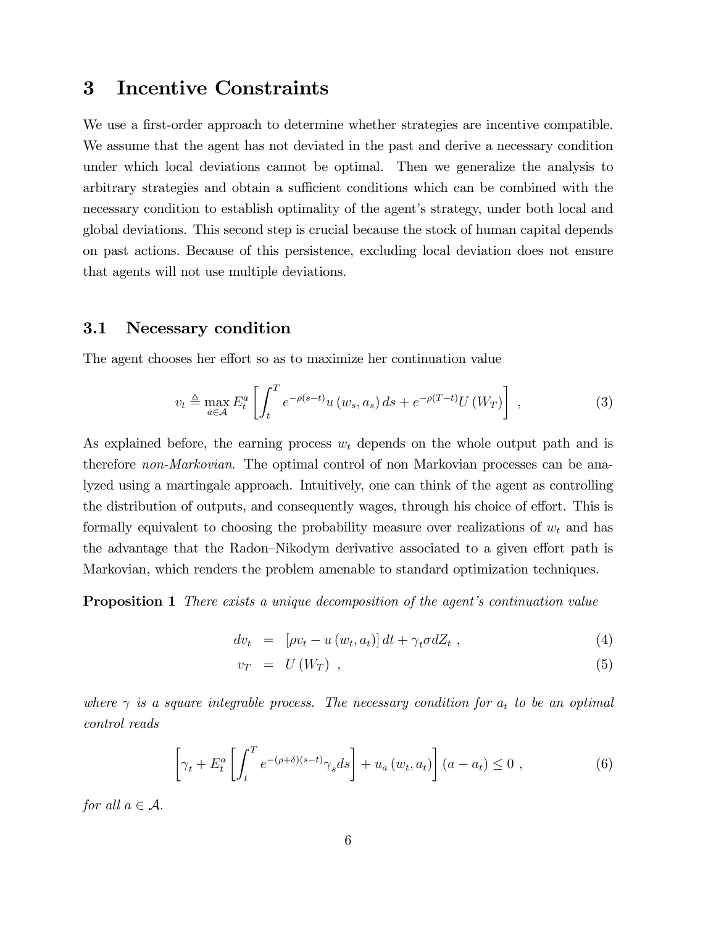### 3 Incentive Constraints

We use a first-order approach to determine whether strategies are incentive compatible. We assume that the agent has not deviated in the past and derive a necessary condition under which local deviations cannot be optimal. Then we generalize the analysis to arbitrary strategies and obtain a sufficient conditions which can be combined with the necessary condition to establish optimality of the agent's strategy, under both local and global deviations. This second step is crucial because the stock of human capital depends on past actions. Because of this persistence, excluding local deviation does not ensure that agents will not use multiple deviations.

#### 3.1 Necessary condition

The agent chooses her effort so as to maximize her continuation value

$$
v_t \triangleq \max_{a \in \mathcal{A}} E_t^a \left[ \int_t^T e^{-\rho(s-t)} u(w_s, a_s) ds + e^{-\rho(T-t)} U(W_T) \right], \qquad (3)
$$

As explained before, the earning process  $w_t$  depends on the whole output path and is therefore non-Markovian. The optimal control of non Markovian processes can be analyzed using a martingale approach. Intuitively, one can think of the agent as controlling the distribution of outputs, and consequently wages, through his choice of effort. This is formally equivalent to choosing the probability measure over realizations of  $w_t$  and has the advantage that the Radon–Nikodym derivative associated to a given effort path is Markovian, which renders the problem amenable to standard optimization techniques.

**Proposition 1** There exists a unique decomposition of the agent's continuation value

$$
dv_t = [\rho v_t - u(w_t, a_t)] dt + \gamma_t \sigma dZ_t , \qquad (4)
$$

$$
v_T = U(W_T) \t{,} \t(5)
$$

where  $\gamma$  is a square integrable process. The necessary condition for  $a_t$  to be an optimal control reads

$$
\left[\gamma_t + E_t^a \left[ \int_t^T e^{-(\rho + \delta)(s-t)} \gamma_s ds \right] + u_a \left( w_t, a_t \right) \right] \left( a - a_t \right) \leq 0 , \tag{6}
$$

for all  $a \in \mathcal{A}$ .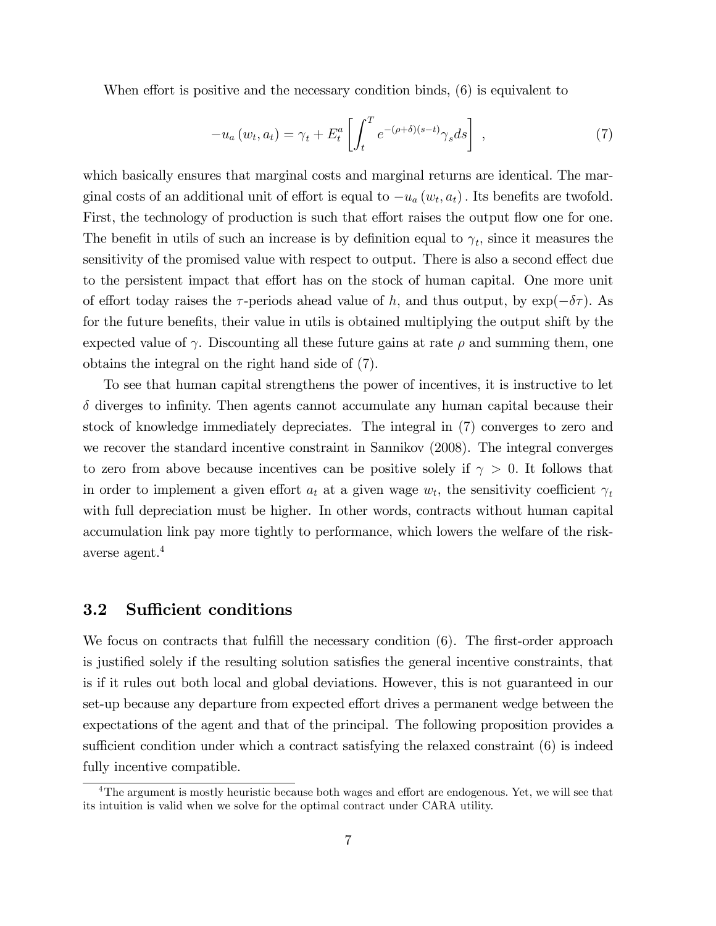When effort is positive and the necessary condition binds,  $(6)$  is equivalent to

$$
-u_a(w_t, a_t) = \gamma_t + E_t^a \left[ \int_t^T e^{-(\rho + \delta)(s-t)} \gamma_s ds \right], \qquad (7)
$$

which basically ensures that marginal costs and marginal returns are identical. The marginal costs of an additional unit of effort is equal to  $-u_a(w_t, a_t)$ . Its benefits are twofold. First, the technology of production is such that effort raises the output flow one for one. The benefit in utils of such an increase is by definition equal to  $\gamma_t$ , since it measures the sensitivity of the promised value with respect to output. There is also a second effect due to the persistent impact that effort has on the stock of human capital. One more unit of effort today raises the  $\tau$ -periods ahead value of h, and thus output, by  $\exp(-\delta \tau)$ . As for the future benefits, their value in utils is obtained multiplying the output shift by the expected value of  $\gamma$ . Discounting all these future gains at rate  $\rho$  and summing them, one obtains the integral on the right hand side of (7).

To see that human capital strengthens the power of incentives, it is instructive to let  $\delta$  diverges to infinity. Then agents cannot accumulate any human capital because their stock of knowledge immediately depreciates. The integral in (7) converges to zero and we recover the standard incentive constraint in Sannikov (2008). The integral converges to zero from above because incentives can be positive solely if  $\gamma > 0$ . It follows that in order to implement a given effort  $a_t$  at a given wage  $w_t$ , the sensitivity coefficient  $\gamma_t$ with full depreciation must be higher. In other words, contracts without human capital accumulation link pay more tightly to performance, which lowers the welfare of the riskaverse agent.<sup>4</sup>

#### 3.2 Sufficient conditions

We focus on contracts that fulfill the necessary condition  $(6)$ . The first-order approach is justified solely if the resulting solution satisfies the general incentive constraints, that is if it rules out both local and global deviations. However, this is not guaranteed in our set-up because any departure from expected effort drives a permanent wedge between the expectations of the agent and that of the principal. The following proposition provides a sufficient condition under which a contract satisfying the relaxed constraint (6) is indeed fully incentive compatible.

 $4$ The argument is mostly heuristic because both wages and effort are endogenous. Yet, we will see that its intuition is valid when we solve for the optimal contract under CARA utility.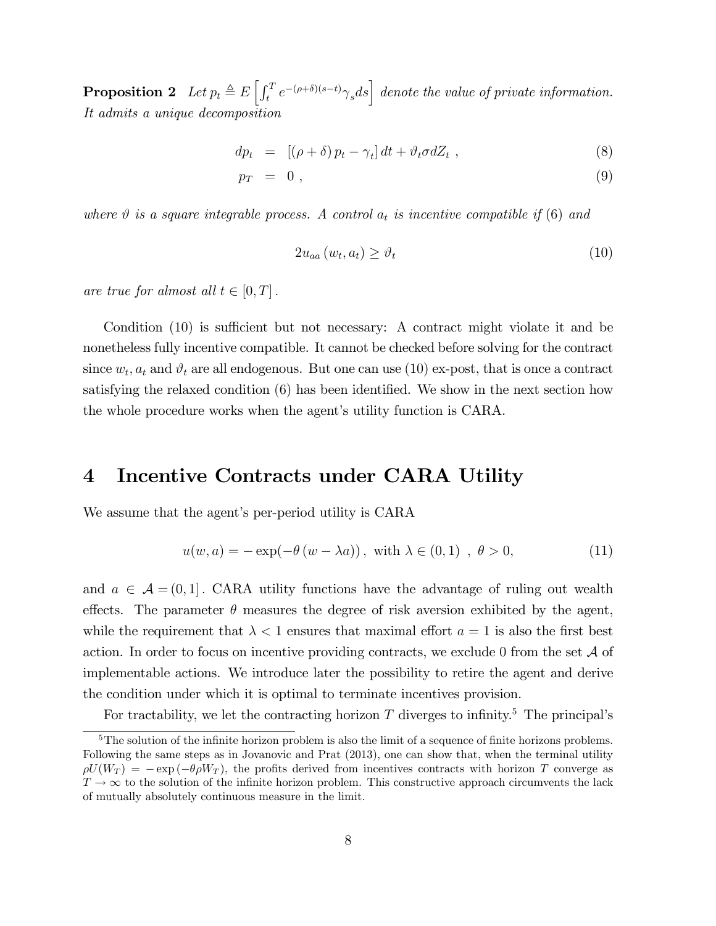**Proposition 2** Let  $p_t \triangleq E\left[\int_t^T e^{-(\rho+\delta)(s-t)} \gamma_s ds\right]$  denote the value of private information. It admits a unique decomposition

$$
dp_t = [(\rho + \delta) p_t - \gamma_t] dt + \vartheta_t \sigma dZ_t , \qquad (8)
$$

$$
p_T = 0 \t{,} \t(9)
$$

where  $\vartheta$  is a square integrable process. A control  $a_t$  is incentive compatible if (6) and

$$
2u_{aa}(w_t, a_t) \ge \vartheta_t \tag{10}
$$

are true for almost all  $t \in [0, T]$ .

Condition  $(10)$  is sufficient but not necessary: A contract might violate it and be nonetheless fully incentive compatible. It cannot be checked before solving for the contract since  $w_t$ ,  $a_t$  and  $\vartheta_t$  are all endogenous. But one can use (10) ex-post, that is once a contract satisfying the relaxed condition  $(6)$  has been identified. We show in the next section how the whole procedure works when the agent's utility function is CARA.

## 4 Incentive Contracts under CARA Utility

We assume that the agent's per-period utility is CARA

$$
u(w, a) = -\exp(-\theta (w - \lambda a)), \text{ with } \lambda \in (0, 1), \theta > 0,
$$
\n(11)

and  $a \in \mathcal{A} = (0, 1]$ . CARA utility functions have the advantage of ruling out wealth effects. The parameter  $\theta$  measures the degree of risk aversion exhibited by the agent, while the requirement that  $\lambda < 1$  ensures that maximal effort  $a = 1$  is also the first best action. In order to focus on incentive providing contracts, we exclude 0 from the set  $A$  of implementable actions. We introduce later the possibility to retire the agent and derive the condition under which it is optimal to terminate incentives provision.

For tractability, we let the contracting horizon T diverges to infinity.<sup>5</sup> The principal's

 $5$ The solution of the infinite horizon problem is also the limit of a sequence of finite horizons problems. Following the same steps as in Jovanovic and Prat (2013), one can show that, when the terminal utility  $\rho U(W_T) = -\exp(-\theta \rho W_T)$ , the profits derived from incentives contracts with horizon T converge as  $T \to \infty$  to the solution of the infinite horizon problem. This constructive approach circumvents the lack of mutually absolutely continuous measure in the limit.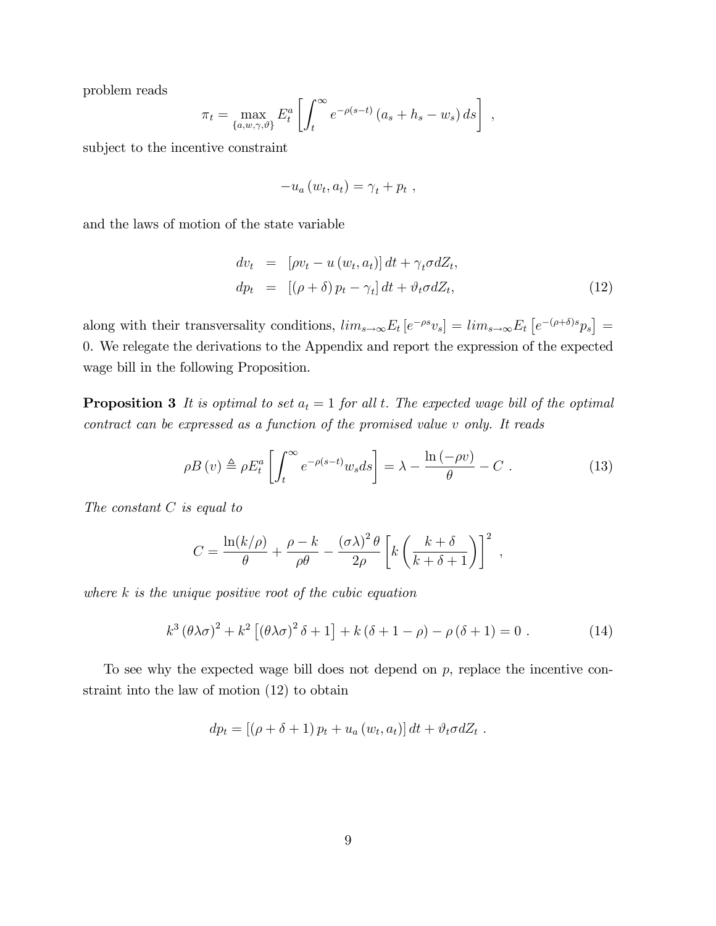problem reads

$$
\pi_t = \max_{\{a,w,\gamma,\vartheta\}} E_t^a \left[ \int_t^\infty e^{-\rho(s-t)} \left( a_s + h_s - w_s \right) ds \right],
$$

subject to the incentive constraint

$$
-u_a(w_t,a_t)=\gamma_t+p_t,
$$

and the laws of motion of the state variable

$$
dv_t = [\rho v_t - u (w_t, a_t)] dt + \gamma_t \sigma dZ_t,
$$
  
\n
$$
dp_t = [(\rho + \delta) p_t - \gamma_t] dt + \vartheta_t \sigma dZ_t,
$$
\n(12)

along with their transversality conditions,  $\lim_{s\to\infty} E_t \left[ e^{-\rho s} v_s \right] = \lim_{s\to\infty} E_t \left[ e^{-(\rho+\delta)s} p_s \right] =$ 0. We relegate the derivations to the Appendix and report the expression of the expected wage bill in the following Proposition.

**Proposition 3** It is optimal to set  $a_t = 1$  for all t. The expected wage bill of the optimal contract can be expressed as a function of the promised value v only. It reads

$$
\rho B\left(v\right) \triangleq \rho E_t^a \left[ \int_t^\infty e^{-\rho(s-t)} w_s ds \right] = \lambda - \frac{\ln\left(-\rho v\right)}{\theta} - C \ . \tag{13}
$$

The constant  $C$  is equal to

$$
C = \frac{\ln(k/\rho)}{\theta} + \frac{\rho - k}{\rho \theta} - \frac{(\sigma \lambda)^2 \theta}{2\rho} \left[ k \left( \frac{k + \delta}{k + \delta + 1} \right) \right]^2 ,
$$

where  $k$  is the unique positive root of the cubic equation

$$
k^3 \left(\theta \lambda \sigma\right)^2 + k^2 \left[\left(\theta \lambda \sigma\right)^2 \delta + 1\right] + k \left(\delta + 1 - \rho\right) - \rho \left(\delta + 1\right) = 0 \tag{14}
$$

To see why the expected wage bill does not depend on  $p$ , replace the incentive constraint into the law of motion (12) to obtain

$$
dp_t = [(\rho + \delta + 1) p_t + u_a(w_t, a_t)] dt + \vartheta_t \sigma dZ_t.
$$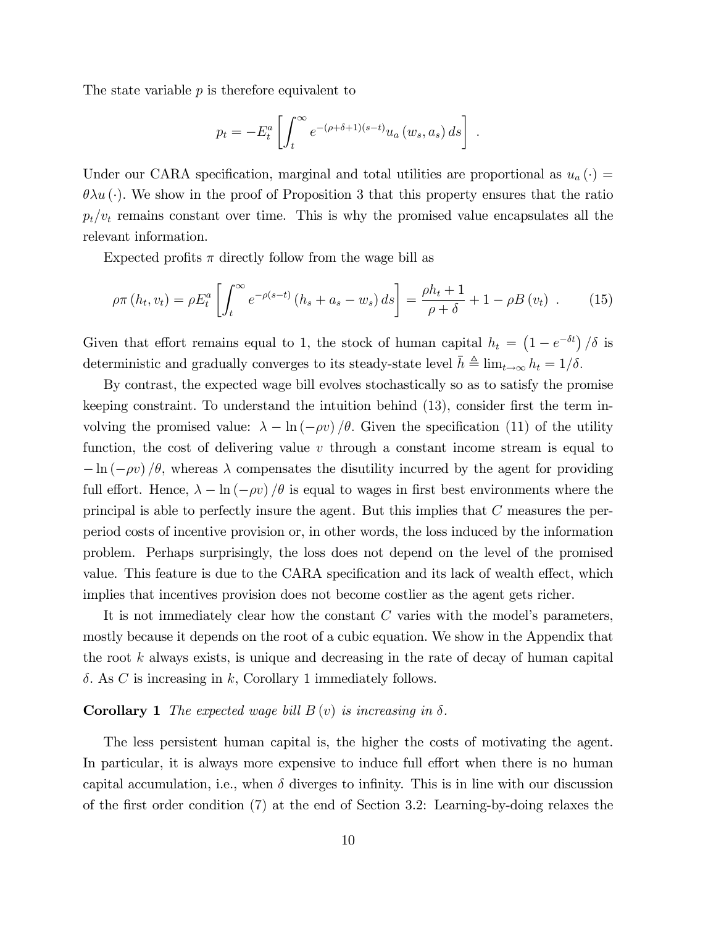The state variable  $p$  is therefore equivalent to

$$
p_t = -E_t^a \left[ \int_t^\infty e^{-(\rho + \delta + 1)(s-t)} u_a(w_s, a_s) ds \right] .
$$

Under our CARA specification, marginal and total utilities are proportional as  $u_a(\cdot)$  =  $\theta \lambda u$  (.). We show in the proof of Proposition 3 that this property ensures that the ratio  $p_t/v_t$  remains constant over time. This is why the promised value encapsulates all the relevant information.

Expected profits  $\pi$  directly follow from the wage bill as

$$
\rho \pi(h_t, v_t) = \rho E_t^a \left[ \int_t^\infty e^{-\rho(s-t)} \left( h_s + a_s - w_s \right) ds \right] = \frac{\rho h_t + 1}{\rho + \delta} + 1 - \rho B(v_t) \quad . \tag{15}
$$

Given that effort remains equal to 1, the stock of human capital  $h_t = (1 - e^{-\delta t})/\delta$  is deterministic and gradually converges to its steady-state level  $\bar{h} \triangleq \lim_{t \to \infty} h_t = 1/\delta$ .

By contrast, the expected wage bill evolves stochastically so as to satisfy the promise keeping constraint. To understand the intuition behind  $(13)$ , consider first the term involving the promised value:  $\lambda - \ln(-\rho v)/\theta$ . Given the specification (11) of the utility function, the cost of delivering value  $v$  through a constant income stream is equal to  $-\ln(-\rho v)/\theta$ , whereas  $\lambda$  compensates the disutility incurred by the agent for providing full effort. Hence,  $\lambda - \ln(-\rho v)/\theta$  is equal to wages in first best environments where the principal is able to perfectly insure the agent. But this implies that C measures the perperiod costs of incentive provision or, in other words, the loss induced by the information problem. Perhaps surprisingly, the loss does not depend on the level of the promised value. This feature is due to the CARA specification and its lack of wealth effect, which implies that incentives provision does not become costlier as the agent gets richer.

It is not immediately clear how the constant  $C$  varies with the model's parameters, mostly because it depends on the root of a cubic equation. We show in the Appendix that the root  $k$  always exists, is unique and decreasing in the rate of decay of human capital  $\delta$ . As C is increasing in k, Corollary 1 immediately follows.

#### **Corollary 1** The expected wage bill  $B(v)$  is increasing in  $\delta$ .

The less persistent human capital is, the higher the costs of motivating the agent. In particular, it is always more expensive to induce full effort when there is no human capital accumulation, i.e., when  $\delta$  diverges to infinity. This is in line with our discussion of the first order condition  $(7)$  at the end of Section 3.2: Learning-by-doing relaxes the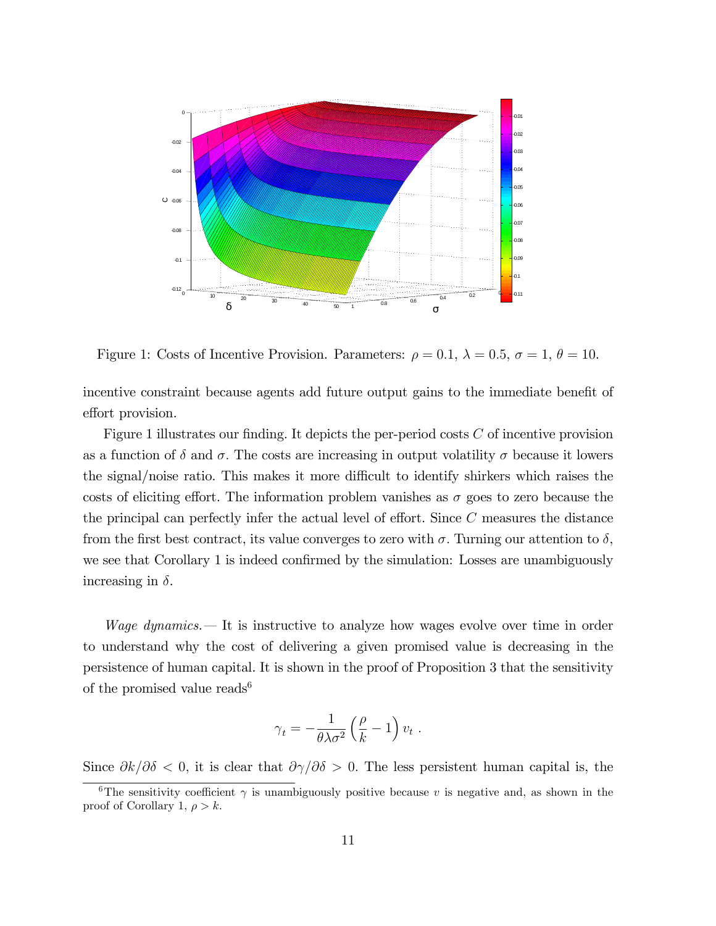

Figure 1: Costs of Incentive Provision. Parameters:  $\rho = 0.1, \lambda = 0.5, \sigma = 1, \theta = 10$ .

incentive constraint because agents add future output gains to the immediate benefit of effort provision.

Figure 1 illustrates our finding. It depicts the per-period costs  $C$  of incentive provision as a function of  $\delta$  and  $\sigma$ . The costs are increasing in output volatility  $\sigma$  because it lowers the signal/noise ratio. This makes it more difficult to identify shirkers which raises the costs of eliciting effort. The information problem vanishes as  $\sigma$  goes to zero because the the principal can perfectly infer the actual level of effort. Since  $C$  measures the distance from the first best contract, its value converges to zero with  $\sigma$ . Turning our attention to  $\delta$ , we see that Corollary 1 is indeed confirmed by the simulation: Losses are unambiguously increasing in  $\delta$ .

*Wage dynamics.* It is instructive to analyze how wages evolve over time in order to understand why the cost of delivering a given promised value is decreasing in the persistence of human capital. It is shown in the proof of Proposition 3 that the sensitivity of the promised value reads<sup>6</sup>

$$
\gamma_t = -\frac{1}{\theta \lambda \sigma^2} \left(\frac{\rho}{k} - 1\right) v_t.
$$

Since  $\partial k/\partial \delta < 0$ , it is clear that  $\partial \gamma/\partial \delta > 0$ . The less persistent human capital is, the

<sup>&</sup>lt;sup>6</sup>The sensitivity coefficient  $\gamma$  is unambiguously positive because v is negative and, as shown in the proof of Corollary 1,  $\rho > k$ .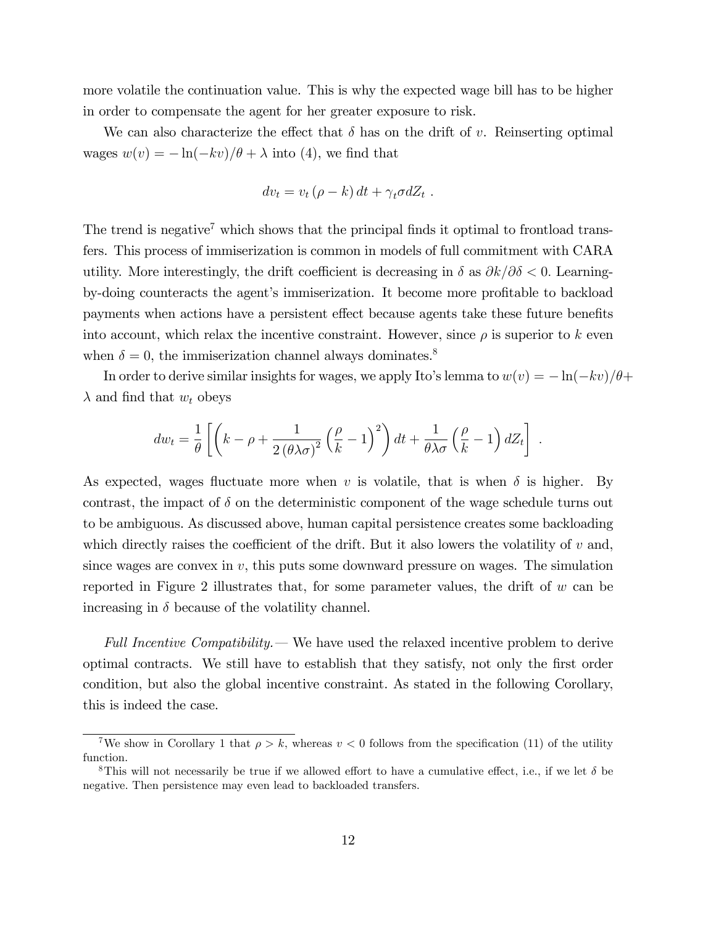more volatile the continuation value. This is why the expected wage bill has to be higher in order to compensate the agent for her greater exposure to risk.

We can also characterize the effect that  $\delta$  has on the drift of v. Reinserting optimal wages  $w(v) = -\ln(-kv)/\theta + \lambda$  into (4), we find that

$$
dv_t = v_t (\rho - k) dt + \gamma_t \sigma dZ_t.
$$

The trend is negative<sup>7</sup> which shows that the principal finds it optimal to frontload transfers. This process of immiserization is common in models of full commitment with CARA utility. More interestingly, the drift coefficient is decreasing in  $\delta$  as  $\partial k/\partial \delta$  < 0. Learningby-doing counteracts the agent's immiserization. It become more profitable to backload payments when actions have a persistent effect because agents take these future benefits into account, which relax the incentive constraint. However, since  $\rho$  is superior to k even when  $\delta = 0$ , the immiserization channel always dominates.<sup>8</sup>

In order to derive similar insights for wages, we apply Ito's lemma to  $w(v) = -\ln(-kv)/\theta$ +  $\lambda$  and find that  $w_t$  obeys

$$
dw_t = \frac{1}{\theta} \left[ \left( k - \rho + \frac{1}{2 (\theta \lambda \sigma)^2} \left( \frac{\rho}{k} - 1 \right)^2 \right) dt + \frac{1}{\theta \lambda \sigma} \left( \frac{\rho}{k} - 1 \right) dZ_t \right].
$$

As expected, wages fluctuate more when v is volatile, that is when  $\delta$  is higher. By contrast, the impact of  $\delta$  on the deterministic component of the wage schedule turns out to be ambiguous. As discussed above, human capital persistence creates some backloading which directly raises the coefficient of the drift. But it also lowers the volatility of  $v$  and, since wages are convex in  $v$ , this puts some downward pressure on wages. The simulation reported in Figure 2 illustrates that, for some parameter values, the drift of w can be increasing in  $\delta$  because of the volatility channel.

Full Incentive Compatibility.  $\sim$  We have used the relaxed incentive problem to derive optimal contracts. We still have to establish that they satisfy, not only the first order condition, but also the global incentive constraint. As stated in the following Corollary, this is indeed the case.

<sup>&</sup>lt;sup>7</sup>We show in Corollary 1 that  $\rho > k$ , whereas  $v < 0$  follows from the specification (11) of the utility function.

<sup>&</sup>lt;sup>8</sup>This will not necessarily be true if we allowed effort to have a cumulative effect, i.e., if we let  $\delta$  be negative. Then persistence may even lead to backloaded transfers.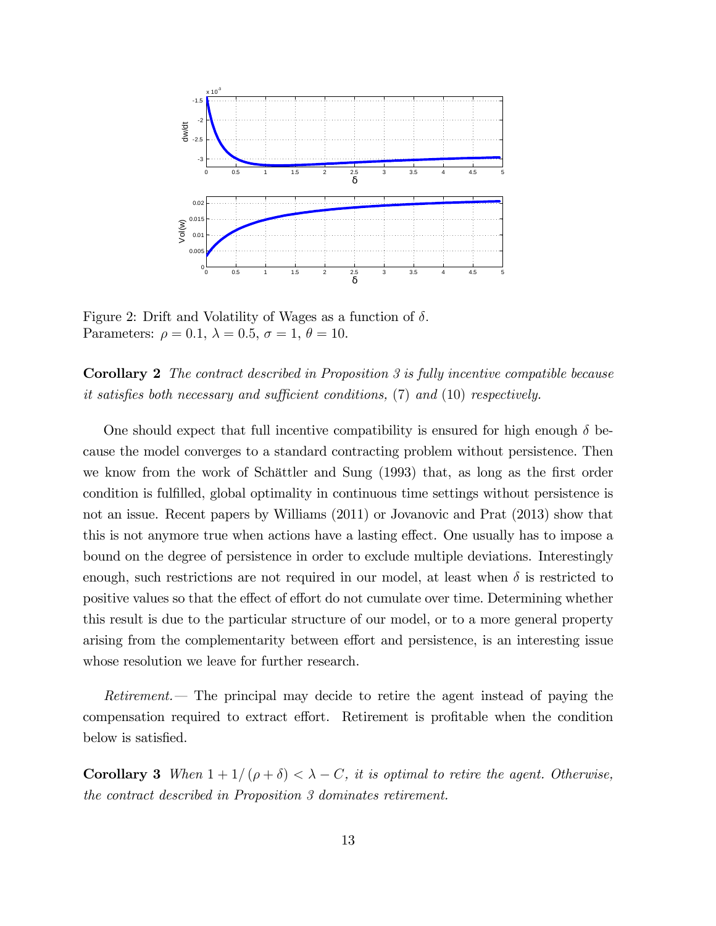

Figure 2: Drift and Volatility of Wages as a function of  $\delta$ . Parameters:  $\rho = 0.1$ ,  $\lambda = 0.5$ ,  $\sigma = 1$ ,  $\theta = 10$ .

Corollary 2 The contract described in Proposition 3 is fully incentive compatible because it satisfies both necessary and sufficient conditions,  $(7)$  and  $(10)$  respectively.

One should expect that full incentive compatibility is ensured for high enough  $\delta$  because the model converges to a standard contracting problem without persistence. Then we know from the work of Schättler and Sung (1993) that, as long as the first order condition is fulfilled, global optimality in continuous time settings without persistence is not an issue. Recent papers by Williams (2011) or Jovanovic and Prat (2013) show that this is not anymore true when actions have a lasting effect. One usually has to impose a bound on the degree of persistence in order to exclude multiple deviations. Interestingly enough, such restrictions are not required in our model, at least when  $\delta$  is restricted to positive values so that the effect of effort do not cumulate over time. Determining whether this result is due to the particular structure of our model, or to a more general property arising from the complementarity between effort and persistence, is an interesting issue whose resolution we leave for further research.

Retirement. The principal may decide to retire the agent instead of paying the compensation required to extract effort. Retirement is profitable when the condition below is satisfied.

**Corollary 3** When  $1 + 1/(\rho + \delta) < \lambda - C$ , it is optimal to retire the agent. Otherwise, the contract described in Proposition 3 dominates retirement.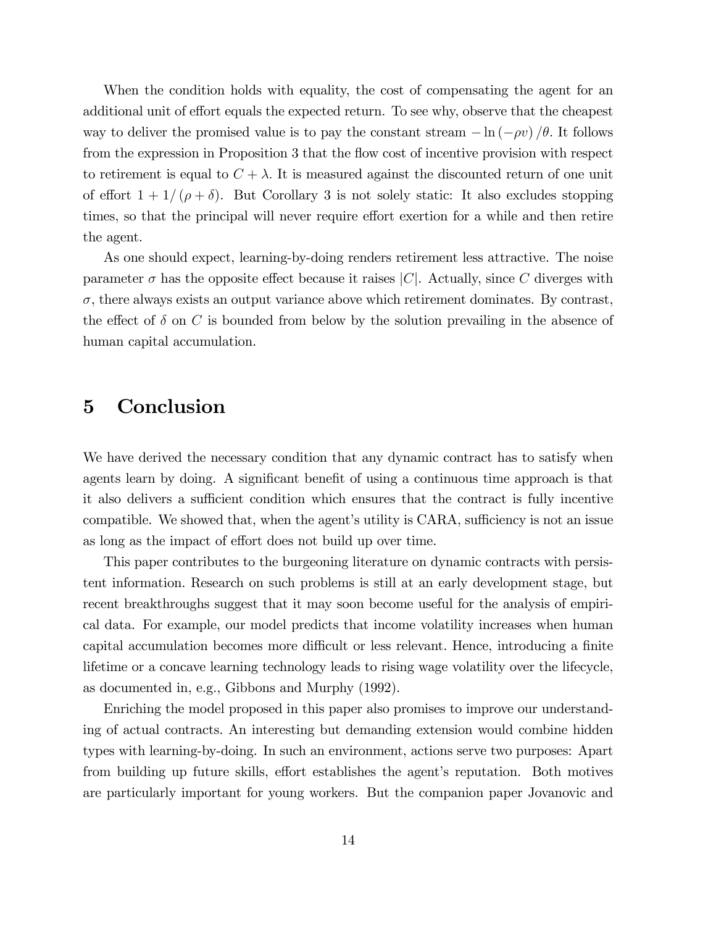When the condition holds with equality, the cost of compensating the agent for an additional unit of effort equals the expected return. To see why, observe that the cheapest way to deliver the promised value is to pay the constant stream  $-\ln(-\rho v)/\theta$ . It follows from the expression in Proposition 3 that the flow cost of incentive provision with respect to retirement is equal to  $C + \lambda$ . It is measured against the discounted return of one unit of effort  $1 + 1/(\rho + \delta)$ . But Corollary 3 is not solely static: It also excludes stopping times, so that the principal will never require effort exertion for a while and then retire the agent.

As one should expect, learning-by-doing renders retirement less attractive. The noise parameter  $\sigma$  has the opposite effect because it raises  $|C|$ . Actually, since C diverges with  $\sigma$ , there always exists an output variance above which retirement dominates. By contrast, the effect of  $\delta$  on C is bounded from below by the solution prevailing in the absence of human capital accumulation.

## 5 Conclusion

We have derived the necessary condition that any dynamic contract has to satisfy when agents learn by doing. A significant benefit of using a continuous time approach is that it also delivers a sufficient condition which ensures that the contract is fully incentive compatible. We showed that, when the agent's utility is CARA, sufficiency is not an issue as long as the impact of effort does not build up over time.

This paper contributes to the burgeoning literature on dynamic contracts with persistent information. Research on such problems is still at an early development stage, but recent breakthroughs suggest that it may soon become useful for the analysis of empirical data. For example, our model predicts that income volatility increases when human capital accumulation becomes more difficult or less relevant. Hence, introducing a finite lifetime or a concave learning technology leads to rising wage volatility over the lifecycle, as documented in, e.g., Gibbons and Murphy (1992).

Enriching the model proposed in this paper also promises to improve our understanding of actual contracts. An interesting but demanding extension would combine hidden types with learning-by-doing. In such an environment, actions serve two purposes: Apart from building up future skills, effort establishes the agent's reputation. Both motives are particularly important for young workers. But the companion paper Jovanovic and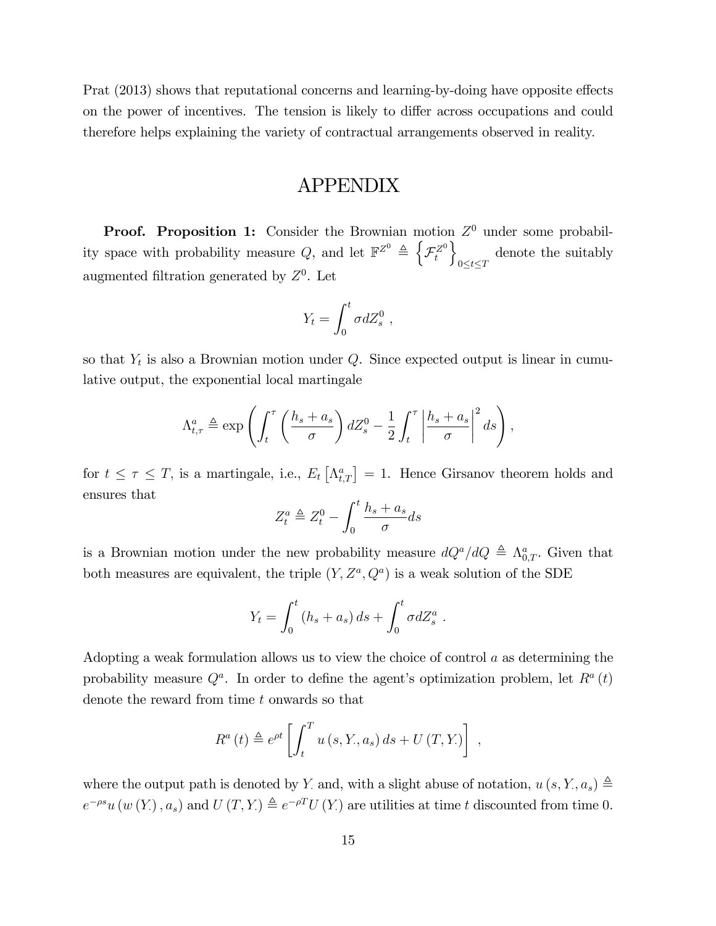Prat (2013) shows that reputational concerns and learning-by-doing have opposite effects on the power of incentives. The tension is likely to differ across occupations and could therefore helps explaining the variety of contractual arrangements observed in reality.

## APPENDIX

**Proof.** Proposition 1: Consider the Brownian motion  $Z^0$  under some probability space with probability measure Q, and let  $\mathbb{F}^{Z^0} \triangleq \left\{ \right\}$  $\mathcal{F}^{Z^0}_t$  $\mathcal{L}$  $0 \leq t \leq T$ denote the suitably augmented filtration generated by  $Z<sup>0</sup>$ . Let

$$
Y_t = \int_0^t \sigma dZ_s^0 ,
$$

so that  $Y_t$  is also a Brownian motion under  $Q$ . Since expected output is linear in cumulative output, the exponential local martingale

$$
\Lambda_{t,\tau}^{a} \triangleq \exp\left(\int_{t}^{\tau} \left(\frac{h_{s}+a_{s}}{\sigma}\right) dZ_{s}^{0} - \frac{1}{2} \int_{t}^{\tau} \left|\frac{h_{s}+a_{s}}{\sigma}\right|^{2} ds\right),\right)
$$

for  $t \leq \tau \leq T$ , is a martingale, i.e.,  $E_t\left[\Lambda_{t,T}^a\right] = 1$ . Hence Girsanov theorem holds and ensures that

$$
Z_t^a \triangleq Z_t^0 - \int_0^t \frac{h_s + a_s}{\sigma} ds
$$

is a Brownian motion under the new probability measure  $dQ^a/dQ \triangleq \Lambda_{0,T}^a$ . Given that both measures are equivalent, the triple  $(Y, Z^a, Q^a)$  is a weak solution of the SDE

$$
Y_t = \int_0^t (h_s + a_s) ds + \int_0^t \sigma dZ_s^a.
$$

Adopting a weak formulation allows us to view the choice of control  $a$  as determining the probability measure  $Q^a$ . In order to define the agent's optimization problem, let  $R^a(t)$ denote the reward from time t onwards so that

$$
R^{a}(t) \triangleq e^{\rho t} \left[ \int_{t}^{T} u(s, Y, a_{s}) ds + U(T, Y_{\cdot}) \right],
$$

where the output path is denoted by Y, and, with a slight abuse of notation,  $u(s, Y, a_s) \triangleq$  $e^{-\rho s}u(w(Y), a_s)$  and  $U(T, Y) \triangleq e^{-\rho T}U(Y)$  are utilities at time t discounted from time 0.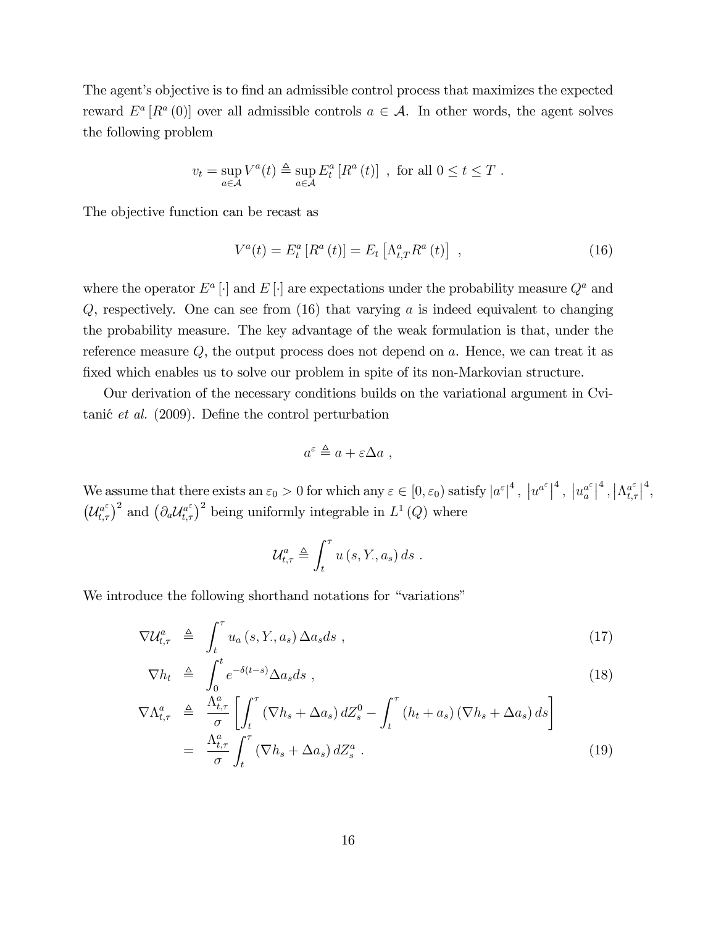The agent's objective is to find an admissible control process that maximizes the expected reward  $E^a[R^a(0)]$  over all admissible controls  $a \in \mathcal{A}$ . In other words, the agent solves the following problem

$$
v_t = \sup_{a \in \mathcal{A}} V^a(t) \triangleq \sup_{a \in \mathcal{A}} E^a_t [R^a(t)] \text{ , for all } 0 \le t \le T .
$$

The objective function can be recast as

$$
V^{a}(t) = E_{t}^{a}[R^{a}(t)] = E_{t}[A_{t,T}^{a}R^{a}(t)], \qquad (16)
$$

where the operator  $E^a$  [·] and  $E$  [·] are expectations under the probability measure  $Q^a$  and  $Q$ , respectively. One can see from  $(16)$  that varying a is indeed equivalent to changing the probability measure. The key advantage of the weak formulation is that, under the reference measure  $Q$ , the output process does not depend on  $a$ . Hence, we can treat it as fixed which enables us to solve our problem in spite of its non-Markovian structure.

Our derivation of the necessary conditions builds on the variational argument in Cvitani $\acute{e}$  *et al.* (2009). Define the control perturbation

$$
a^{\varepsilon} \triangleq a + \varepsilon \Delta a ,
$$

We assume that there exists an  $\varepsilon_0 > 0$  for which any  $\varepsilon \in [0, \varepsilon_0)$  satisfy  $|a^{\varepsilon}|^4$ ,  $|u^{a^{\varepsilon}}|^4$ ,  $|u^{a^{\varepsilon}}|^4$  $\left\vert \begin{smallmatrix} a^\varepsilon\ a \end{smallmatrix} \right\vert^4,\left\vert \Lambda_{t,\tau}^{a^\varepsilon} \right\vert$  $a^\varepsilon_{t,\tau}\big|^4,$  $(\mathcal{U}_{t,\tau}^{a^{\varepsilon}})^2$  and  $(\partial_a \mathcal{U}_{t,\tau}^{a^{\varepsilon}})^2$  being uniformly integrable in  $L^1(Q)$  where

$$
\mathcal{U}_{t,\tau}^{a} \triangleq \int_{t}^{\tau} u\left(s, Y_{\cdot}, a_{s}\right) ds .
$$

We introduce the following shorthand notations for "variations"

$$
\nabla \mathcal{U}_{t,\tau}^{a} \triangleq \int_{t}^{\tau} u_{a}(s,Y,a_{s}) \Delta a_{s} ds , \qquad (17)
$$

$$
\nabla h_t \triangleq \int_0^t e^{-\delta(t-s)} \Delta a_s ds , \qquad (18)
$$

$$
\nabla \Lambda_{t,\tau}^{a} \triangleq \frac{\Lambda_{t,\tau}^{a}}{\sigma} \left[ \int_{t}^{\tau} \left( \nabla h_{s} + \Delta a_{s} \right) dZ_{s}^{0} - \int_{t}^{\tau} \left( h_{t} + a_{s} \right) \left( \nabla h_{s} + \Delta a_{s} \right) ds \right]
$$

$$
= \frac{\Lambda_{t,\tau}^{a}}{\sigma} \int_{t}^{\tau} \left( \nabla h_{s} + \Delta a_{s} \right) dZ_{s}^{a} . \tag{19}
$$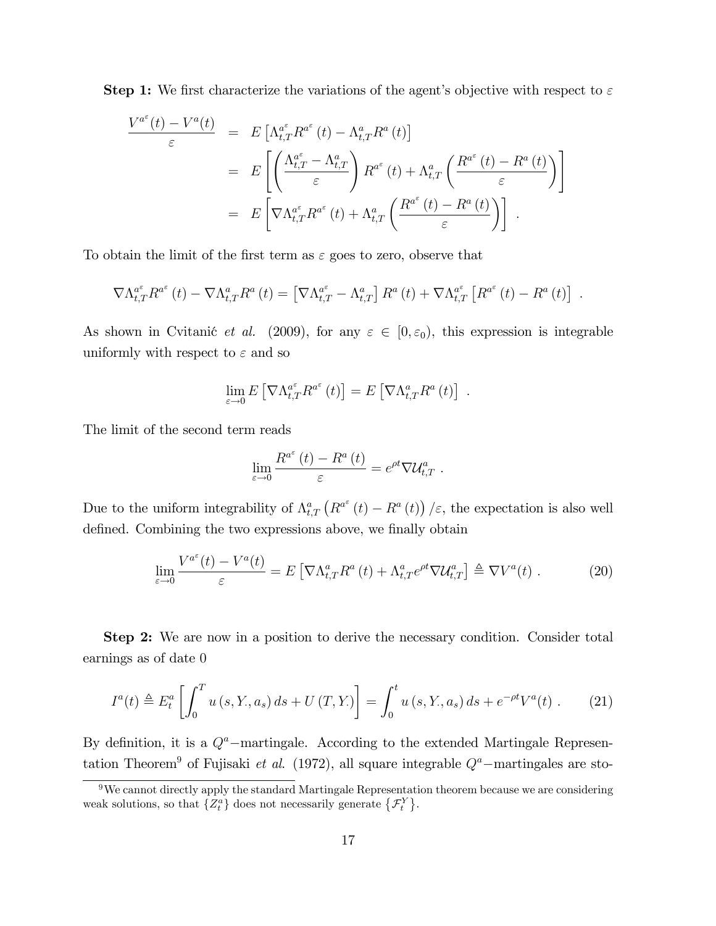**Step 1:** We first characterize the variations of the agent's objective with respect to  $\varepsilon$ 

$$
\frac{V^{a^{\varepsilon}}(t) - V^{a}(t)}{\varepsilon} = E\left[\Lambda_{t,T}^{a^{\varepsilon}} R^{a^{\varepsilon}}(t) - \Lambda_{t,T}^{a} R^{a}(t)\right]
$$
  
\n
$$
= E\left[\left(\frac{\Lambda_{t,T}^{a^{\varepsilon}} - \Lambda_{t,T}^{a}}{\varepsilon}\right) R^{a^{\varepsilon}}(t) + \Lambda_{t,T}^{a}\left(\frac{R^{a^{\varepsilon}}(t) - R^{a}(t)}{\varepsilon}\right)\right]
$$
  
\n
$$
= E\left[\nabla \Lambda_{t,T}^{a^{\varepsilon}} R^{a^{\varepsilon}}(t) + \Lambda_{t,T}^{a}\left(\frac{R^{a^{\varepsilon}}(t) - R^{a}(t)}{\varepsilon}\right)\right].
$$

To obtain the limit of the first term as  $\varepsilon$  goes to zero, observe that

$$
\nabla \Lambda_{t,T}^{a^{\varepsilon}} R^{a^{\varepsilon}}(t) - \nabla \Lambda_{t,T}^{a} R^{a}(t) = \left[ \nabla \Lambda_{t,T}^{a^{\varepsilon}} - \Lambda_{t,T}^{a} \right] R^{a}(t) + \nabla \Lambda_{t,T}^{a^{\varepsilon}} \left[ R^{a^{\varepsilon}}(t) - R^{a}(t) \right] .
$$

As shown in Cvitanić *et al.* (2009), for any  $\varepsilon \in [0, \varepsilon_0)$ , this expression is integrable uniformly with respect to  $\varepsilon$  and so

$$
\lim_{\varepsilon \to 0} E\left[\nabla \Lambda_{t,T}^{a^{\varepsilon}} R^{a^{\varepsilon}}(t)\right] = E\left[\nabla \Lambda_{t,T}^{a} R^{a}(t)\right] .
$$

The limit of the second term reads

$$
\lim_{\varepsilon \to 0} \frac{R^{a^{\varepsilon}}(t) - R^{a}(t)}{\varepsilon} = e^{\rho t} \nabla \mathcal{U}^{a}_{t,T}.
$$

Due to the uniform integrability of  $\Lambda_{t,T}^a(R^{a^{\varepsilon}}(t) - R^a(t)) / \varepsilon$ , the expectation is also well defined. Combining the two expressions above, we finally obtain

$$
\lim_{\varepsilon \to 0} \frac{V^{a^{\varepsilon}}(t) - V^{a}(t)}{\varepsilon} = E\left[\nabla \Lambda_{t,T}^{a} R^{a}(t) + \Lambda_{t,T}^{a} e^{\rho t} \nabla \mathcal{U}_{t,T}^{a}\right] \triangleq \nabla V^{a}(t) . \tag{20}
$$

Step 2: We are now in a position to derive the necessary condition. Consider total earnings as of date 0

$$
I^{a}(t) \triangleq E_{t}^{a} \left[ \int_{0}^{T} u(s, Y, a_{s}) ds + U(T, Y_{s}) \right] = \int_{0}^{t} u(s, Y, a_{s}) ds + e^{-\rho t} V^{a}(t) . \tag{21}
$$

By definition, it is a  $Q^a$ -martingale. According to the extended Martingale Representation Theorem<sup>9</sup> of Fujisaki *et al.* (1972), all square integrable  $Q^a$ -martingales are sto-

 $9$ We cannot directly apply the standard Martingale Representation theorem because we are considering weak solutions, so that  $\{Z_t^a\}$  does not necessarily generate  $\{\mathcal{F}_t^Y\}$ .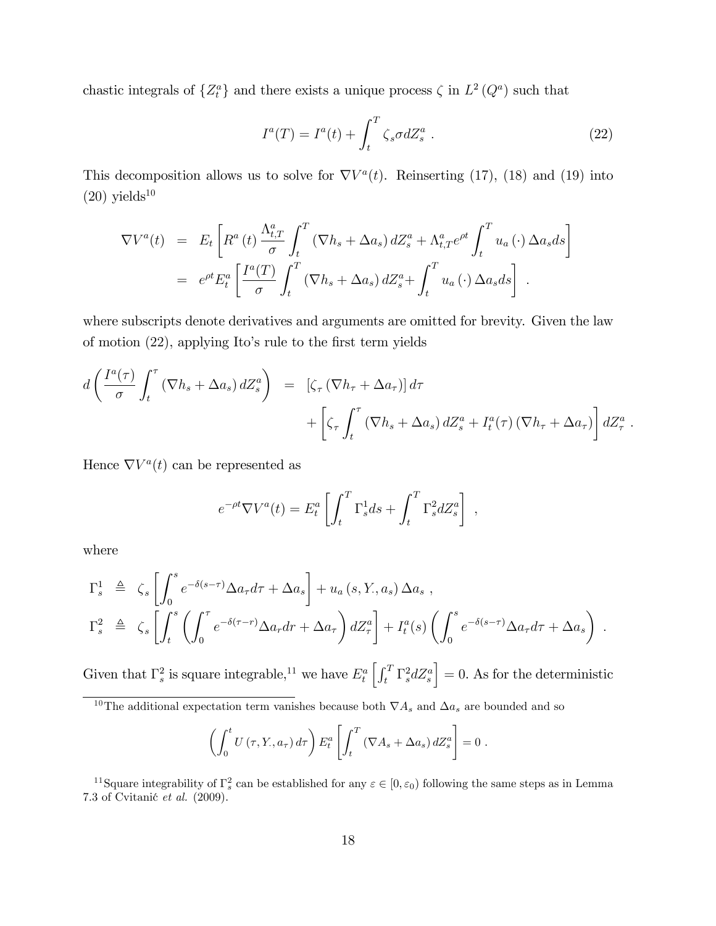chastic integrals of  $\{Z_t^a\}$  and there exists a unique process  $\zeta$  in  $L^2(Q^a)$  such that

$$
I^{a}(T) = I^{a}(t) + \int_{t}^{T} \zeta_{s} \sigma dZ_{s}^{a} . \qquad (22)
$$

This decomposition allows us to solve for  $\nabla V^a(t)$ . Reinserting (17), (18) and (19) into  $(20)$  yields<sup>10</sup>

$$
\nabla V^{a}(t) = E_{t} \left[ R^{a}(t) \frac{\Lambda_{t,T}^{a}}{\sigma} \int_{t}^{T} (\nabla h_{s} + \Delta a_{s}) dZ_{s}^{a} + \Lambda_{t,T}^{a} e^{\rho t} \int_{t}^{T} u_{a}(\cdot) \Delta a_{s} ds \right]
$$
  
=  $e^{\rho t} E_{t}^{a} \left[ \frac{I^{a}(T)}{\sigma} \int_{t}^{T} (\nabla h_{s} + \Delta a_{s}) dZ_{s}^{a} + \int_{t}^{T} u_{a}(\cdot) \Delta a_{s} ds \right].$ 

where subscripts denote derivatives and arguments are omitted for brevity. Given the law of motion  $(22)$ , applying Ito's rule to the first term yields

$$
d\left(\frac{I^a(\tau)}{\sigma} \int_t^\tau (\nabla h_s + \Delta a_s) dZ_s^a\right) = \left[\zeta_\tau (\nabla h_\tau + \Delta a_\tau)\right] d\tau + \left[\zeta_\tau \int_t^\tau (\nabla h_s + \Delta a_s) dZ_s^a + I_t^a(\tau) (\nabla h_\tau + \Delta a_\tau)\right] dZ_\tau^a.
$$

Hence  $\nabla V^a(t)$  can be represented as

$$
e^{-\rho t} \nabla V^a(t) = E^a_t \left[ \int_t^T \Gamma^1_s ds + \int_t^T \Gamma^2_s dZ^a_s \right],
$$

where

$$
\Gamma_s^1 \triangleq \zeta_s \left[ \int_0^s e^{-\delta(s-\tau)} \Delta a_{\tau} d\tau + \Delta a_s \right] + u_a(s, Y, a_s) \Delta a_s ,
$$
  
\n
$$
\Gamma_s^2 \triangleq \zeta_s \left[ \int_t^s \left( \int_0^{\tau} e^{-\delta(\tau - r)} \Delta a_{\tau} dr + \Delta a_{\tau} \right) dZ_{\tau}^a \right] + I_t^a(s) \left( \int_0^s e^{-\delta(s-\tau)} \Delta a_{\tau} d\tau + \Delta a_s \right) .
$$

Given that  $\Gamma_s^2$  is square integrable,<sup>11</sup> we have  $E_t^a \left[ \int_t^T \Gamma_s^2 dZ_s^a \right]$  $\Big] = 0.$  As for the deterministic

$$
\left(\int_0^t U(\tau, Y, a_\tau) d\tau\right) E_t^a \left[\int_t^T (\nabla A_s + \Delta a_s) dZ_s^a\right] = 0.
$$

<sup>&</sup>lt;sup>10</sup>The additional expectation term vanishes because both  $\nabla A_s$  and  $\Delta a_s$  are bounded and so

<sup>&</sup>lt;sup>11</sup>Square integrability of  $\Gamma_s^2$  can be established for any  $\varepsilon \in [0, \varepsilon_0)$  following the same steps as in Lemma 7.3 of Cvitanić et al.  $(2009)$ .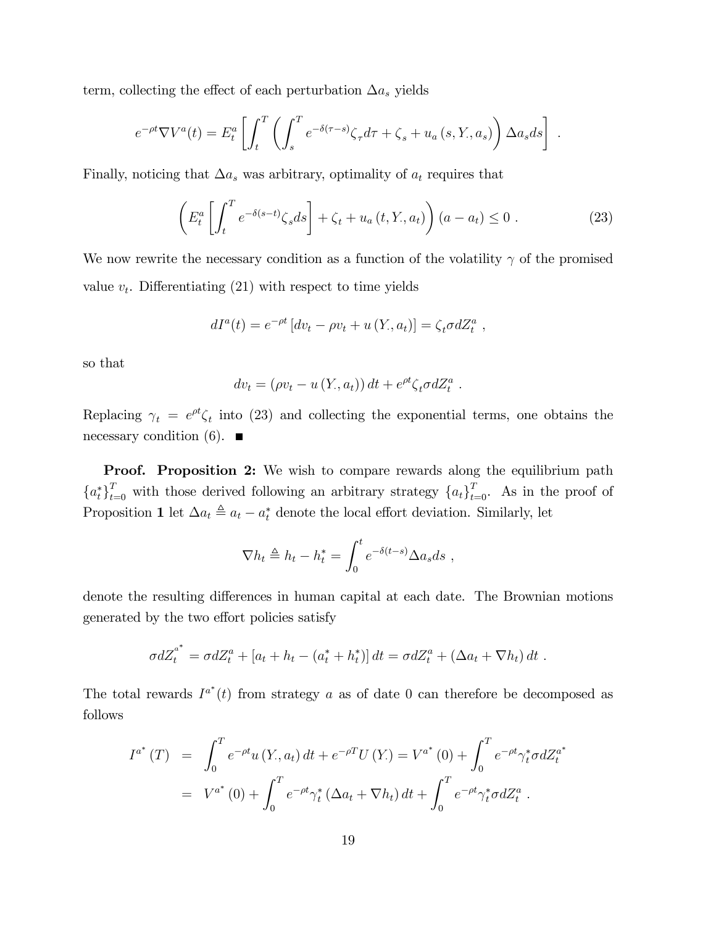term, collecting the effect of each perturbation  $\Delta a_s$  yields

$$
e^{-\rho t} \nabla V^{a}(t) = E_{t}^{a} \left[ \int_{t}^{T} \left( \int_{s}^{T} e^{-\delta(\tau - s)} \zeta_{\tau} d\tau + \zeta_{s} + u_{a}(s, Y, a_{s}) \right) \Delta a_{s} ds \right].
$$

Finally, noticing that  $\Delta a_s$  was arbitrary, optimality of  $a_t$  requires that

$$
\left(E_t^a \left[ \int_t^T e^{-\delta(s-t)} \zeta_s ds \right] + \zeta_t + u_a(t, Y, a_t) \right) (a - a_t) \le 0.
$$
\n(23)

We now rewrite the necessary condition as a function of the volatility  $\gamma$  of the promised value  $v_t$ . Differentiating (21) with respect to time yields

$$
dI^{a}(t) = e^{-\rho t} [dv_t - \rho v_t + u(Y, a_t)] = \zeta_t \sigma dZ_t^{a} ,
$$

so that

$$
dv_t = (\rho v_t - u(Y, a_t)) dt + e^{\rho t} \zeta_t \sigma dZ_t^a.
$$

Replacing  $\gamma_t = e^{\rho t} \zeta_t$  into (23) and collecting the exponential terms, one obtains the necessary condition (6).  $\blacksquare$ 

Proof. Proposition 2: We wish to compare rewards along the equilibrium path  ${a_t^*}_{t=0}^T$  with those derived following an arbitrary strategy  ${a_t}_{t=0}^T$ . As in the proof of Proposition 1 let  $\Delta a_t \triangleq a_t - a_t^*$  denote the local effort deviation. Similarly, let

$$
\nabla h_t \triangleq h_t - h_t^* = \int_0^t e^{-\delta(t-s)} \Delta a_s ds ,
$$

denote the resulting differences in human capital at each date. The Brownian motions generated by the two effort policies satisfy

$$
\sigma dZ_t^{a^*} = \sigma dZ_t^a + [a_t + h_t - (a_t^* + h_t^*)] dt = \sigma dZ_t^a + (\Delta a_t + \nabla h_t) dt.
$$

The total rewards  $I^{a^*}(t)$  from strategy a as of date 0 can therefore be decomposed as follows

$$
I^{a^*}(T) = \int_0^T e^{-\rho t} u(Y, a_t) dt + e^{-\rho T} U(Y) = V^{a^*}(0) + \int_0^T e^{-\rho t} \gamma_t^* \sigma dZ_t^{a^*}
$$
  
=  $V^{a^*}(0) + \int_0^T e^{-\rho t} \gamma_t^* (\Delta a_t + \nabla h_t) dt + \int_0^T e^{-\rho t} \gamma_t^* \sigma dZ_t^a$ .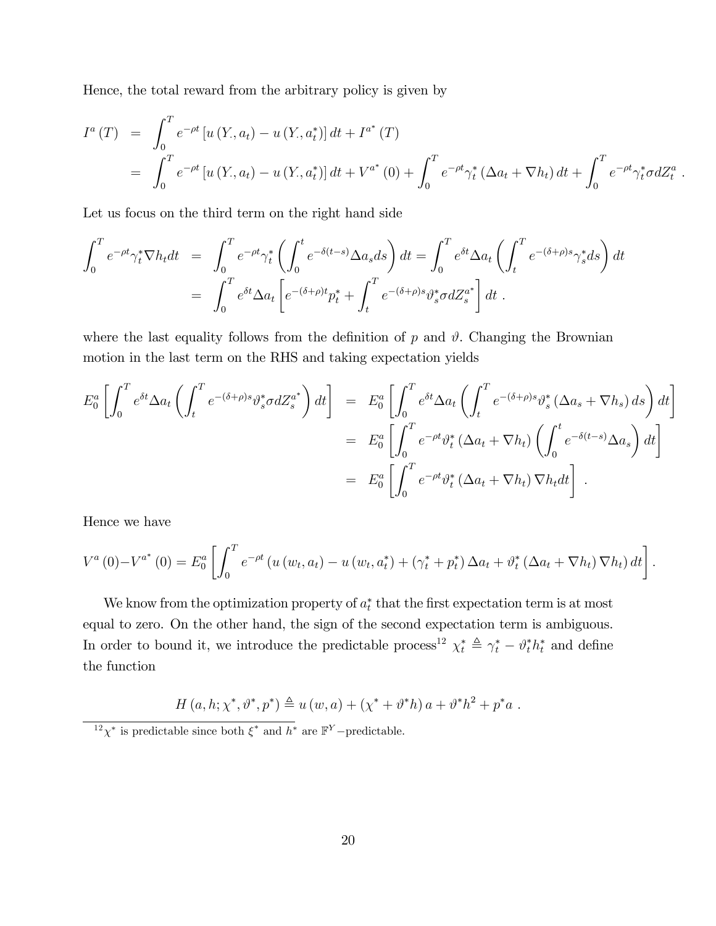Hence, the total reward from the arbitrary policy is given by

$$
I^{a}(T) = \int_{0}^{T} e^{-\rho t} \left[ u(Y, a_{t}) - u(Y, a_{t}^{*}) \right] dt + I^{a^{*}}(T)
$$
  
= 
$$
\int_{0}^{T} e^{-\rho t} \left[ u(Y, a_{t}) - u(Y, a_{t}^{*}) \right] dt + V^{a^{*}}(0) + \int_{0}^{T} e^{-\rho t} \gamma_{t}^{*} (\Delta a_{t} + \nabla h_{t}) dt + \int_{0}^{T} e^{-\rho t} \gamma_{t}^{*} \sigma dZ_{t}^{a}.
$$

Let us focus on the third term on the right hand side

$$
\int_0^T e^{-\rho t} \gamma_t^* \nabla h_t dt = \int_0^T e^{-\rho t} \gamma_t^* \left( \int_0^t e^{-\delta(t-s)} \Delta a_s ds \right) dt = \int_0^T e^{\delta t} \Delta a_t \left( \int_t^T e^{-(\delta + \rho)s} \gamma_s^* ds \right) dt
$$
  
= 
$$
\int_0^T e^{\delta t} \Delta a_t \left[ e^{-(\delta + \rho)t} p_t^* + \int_t^T e^{-(\delta + \rho)s} \vartheta_s^* \sigma dZ_s^{a^*} \right] dt.
$$

where the last equality follows from the definition of  $p$  and  $\vartheta$ . Changing the Brownian motion in the last term on the RHS and taking expectation yields

$$
E_0^a \left[ \int_0^T e^{\delta t} \Delta a_t \left( \int_t^T e^{-(\delta + \rho)s} \vartheta_s^* \sigma dZ_s^{a^*} \right) dt \right] = E_0^a \left[ \int_0^T e^{\delta t} \Delta a_t \left( \int_t^T e^{-(\delta + \rho)s} \vartheta_s^* \left( \Delta a_s + \nabla h_s \right) ds \right) dt \right]
$$
  

$$
= E_0^a \left[ \int_0^T e^{-\rho t} \vartheta_t^* \left( \Delta a_t + \nabla h_t \right) \left( \int_0^t e^{-\delta (t-s)} \Delta a_s \right) dt \right]
$$
  

$$
= E_0^a \left[ \int_0^T e^{-\rho t} \vartheta_t^* \left( \Delta a_t + \nabla h_t \right) \nabla h_t dt \right].
$$

Hence we have

$$
V^{a}(0)-V^{a^{*}}(0)=E_{0}^{a}\left[\int_{0}^{T}e^{-\rho t}\left(u\left(w_{t}, a_{t}\right)-u\left(w_{t}, a_{t}^{*}\right)+\left(\gamma_{t}^{*}+p_{t}^{*}\right)\Delta a_{t}+\vartheta_{t}^{*}\left(\Delta a_{t}+\nabla h_{t}\right)\nabla h_{t}\right)dt\right].
$$

We know from the optimization property of  $a_t^*$  that the first expectation term is at most equal to zero. On the other hand, the sign of the second expectation term is ambiguous. In order to bound it, we introduce the predictable process<sup>12</sup>  $\chi_t^* \triangleq \gamma_t^* - \vartheta_t^* h_t^*$  and define the function

$$
H (a, h; \chi^*, \vartheta^*, p^*) \triangleq u (w, a) + (\chi^* + \vartheta^* h) a + \vartheta^* h^2 + p^* a .
$$

<sup>12</sup> $\chi^*$  is predictable since both  $\xi^*$  and  $h^*$  are  $\mathbb{F}^Y$ -predictable.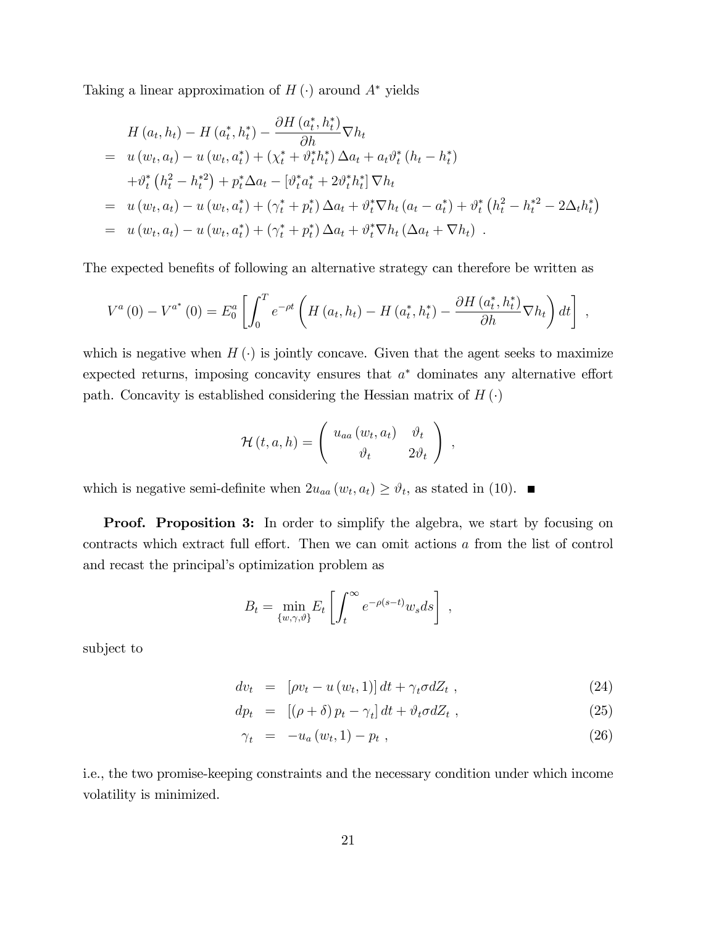Taking a linear approximation of  $H(\cdot)$  around  $A^*$  yields

$$
H(a_t, h_t) - H(a_t^*, h_t^*) - \frac{\partial H(a_t^*, h_t^*)}{\partial h} \nabla h_t
$$
  
=  $u(w_t, a_t) - u(w_t, a_t^*) + (\chi_t^* + \vartheta_t^* h_t^*) \Delta a_t + a_t \vartheta_t^* (h_t - h_t^*)$   
+  $\vartheta_t^* (h_t^2 - h_t^*^2) + p_t^* \Delta a_t - [\vartheta_t^* a_t^* + 2 \vartheta_t^* h_t^*] \nabla h_t$   
=  $u(w_t, a_t) - u(w_t, a_t^*) + (\gamma_t^* + p_t^*) \Delta a_t + \vartheta_t^* \nabla h_t (a_t - a_t^*) + \vartheta_t^* (h_t^2 - h_t^*^2 - 2\Delta_t h_t^*)$   
=  $u(w_t, a_t) - u(w_t, a_t^*) + (\gamma_t^* + p_t^*) \Delta a_t + \vartheta_t^* \nabla h_t (\Delta a_t + \nabla h_t).$ 

The expected benefits of following an alternative strategy can therefore be written as

$$
V^{a}(0) - V^{a^{*}}(0) = E_{0}^{a} \left[ \int_{0}^{T} e^{-\rho t} \left( H\left(a_{t}, h_{t}\right) - H\left(a_{t}^{*}, h_{t}^{*}\right) - \frac{\partial H\left(a_{t}^{*}, h_{t}^{*}\right)}{\partial h} \nabla h_{t} \right) dt \right],
$$

which is negative when  $H(\cdot)$  is jointly concave. Given that the agent seeks to maximize expected returns, imposing concavity ensures that  $a^*$  dominates any alternative effort path. Concavity is established considering the Hessian matrix of  $H(\cdot)$ 

$$
\mathcal{H}(t,a,h) = \left( \begin{array}{cc} u_{aa}(w_t,a_t) & \vartheta_t \\ \vartheta_t & 2\vartheta_t \end{array} \right) ,
$$

which is negative semi-definite when  $2u_{aa}(w_t, a_t) \ge \vartheta_t$ , as stated in (10).

**Proof.** Proposition 3: In order to simplify the algebra, we start by focusing on contracts which extract full effort. Then we can omit actions  $a$  from the list of control and recast the principal's optimization problem as

$$
B_t = \min_{\{w,\gamma,\vartheta\}} E_t \left[ \int_t^{\infty} e^{-\rho(s-t)} w_s ds \right],
$$

subject to

$$
dv_t = [\rho v_t - u(w_t, 1)] dt + \gamma_t \sigma dZ_t , \qquad (24)
$$

$$
dp_t = [(\rho + \delta) p_t - \gamma_t] dt + \vartheta_t \sigma dZ_t , \qquad (25)
$$

$$
\gamma_t = -u_a(w_t, 1) - p_t , \qquad (26)
$$

i.e., the two promise-keeping constraints and the necessary condition under which income volatility is minimized.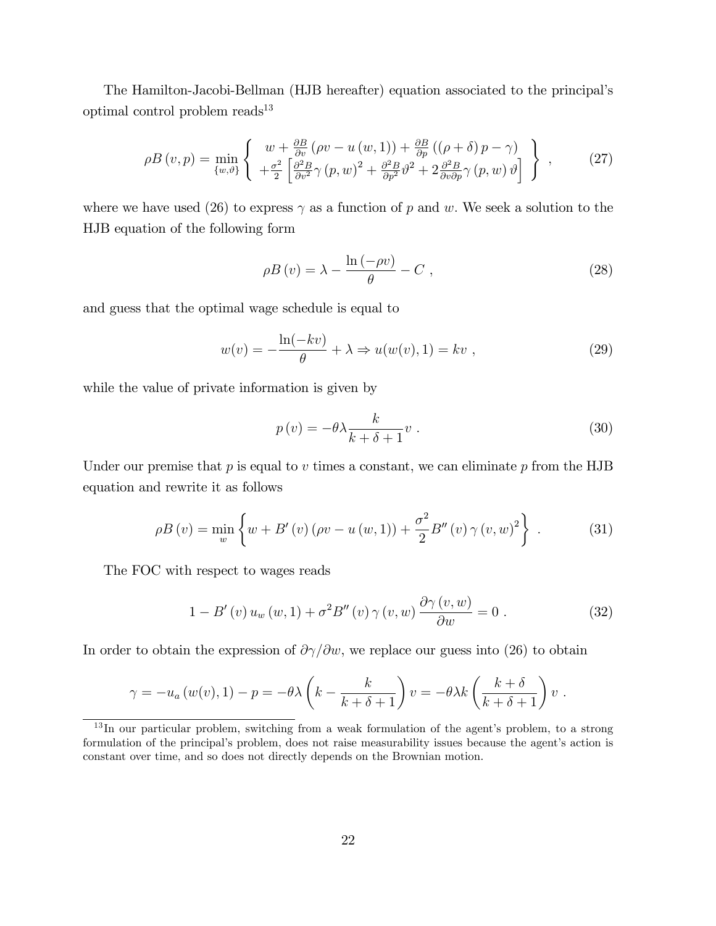The Hamilton-Jacobi-Bellman (HJB hereafter) equation associated to the principalís optimal control problem reads<sup>13</sup>

$$
\rho B\left(v,p\right) = \min_{\{w,\vartheta\}} \left\{ \begin{array}{l} w + \frac{\partial B}{\partial v} \left(\rho v - u\left(w,1\right)\right) + \frac{\partial B}{\partial p} \left(\left(\rho + \delta\right)p - \gamma\right) \\ + \frac{\sigma^2}{2} \left[\frac{\partial^2 B}{\partial v^2} \gamma \left(p,w\right)^2 + \frac{\partial^2 B}{\partial p^2} \vartheta^2 + 2 \frac{\partial^2 B}{\partial v \partial p} \gamma \left(p,w\right) \vartheta \right] \end{array} \right\} ,\tag{27}
$$

where we have used (26) to express  $\gamma$  as a function of p and w. We seek a solution to the HJB equation of the following form

$$
\rho B\left(v\right) = \lambda - \frac{\ln\left(-\rho v\right)}{\theta} - C\,\,,\tag{28}
$$

and guess that the optimal wage schedule is equal to

$$
w(v) = -\frac{\ln(-kv)}{\theta} + \lambda \Rightarrow u(w(v), 1) = kv , \qquad (29)
$$

while the value of private information is given by

$$
p(v) = -\theta \lambda \frac{k}{k + \delta + 1} v . \tag{30}
$$

Under our premise that  $p$  is equal to  $v$  times a constant, we can eliminate  $p$  from the HJB equation and rewrite it as follows

$$
\rho B(v) = \min_{w} \left\{ w + B'(v) (\rho v - u(w, 1)) + \frac{\sigma^2}{2} B''(v) \gamma (v, w)^2 \right\}.
$$
 (31)

The FOC with respect to wages reads

$$
1 - B'(v) u_w(w, 1) + \sigma^2 B''(v) \gamma(v, w) \frac{\partial \gamma(v, w)}{\partial w} = 0.
$$
 (32)

In order to obtain the expression of  $\partial \gamma / \partial w$ , we replace our guess into (26) to obtain

$$
\gamma = -u_a(w(v), 1) - p = -\theta \lambda \left( k - \frac{k}{k + \delta + 1} \right) v = -\theta \lambda k \left( \frac{k + \delta}{k + \delta + 1} \right) v.
$$

 $13$  In our particular problem, switching from a weak formulation of the agent's problem, to a strong formulation of the principal's problem, does not raise measurability issues because the agent's action is constant over time, and so does not directly depends on the Brownian motion.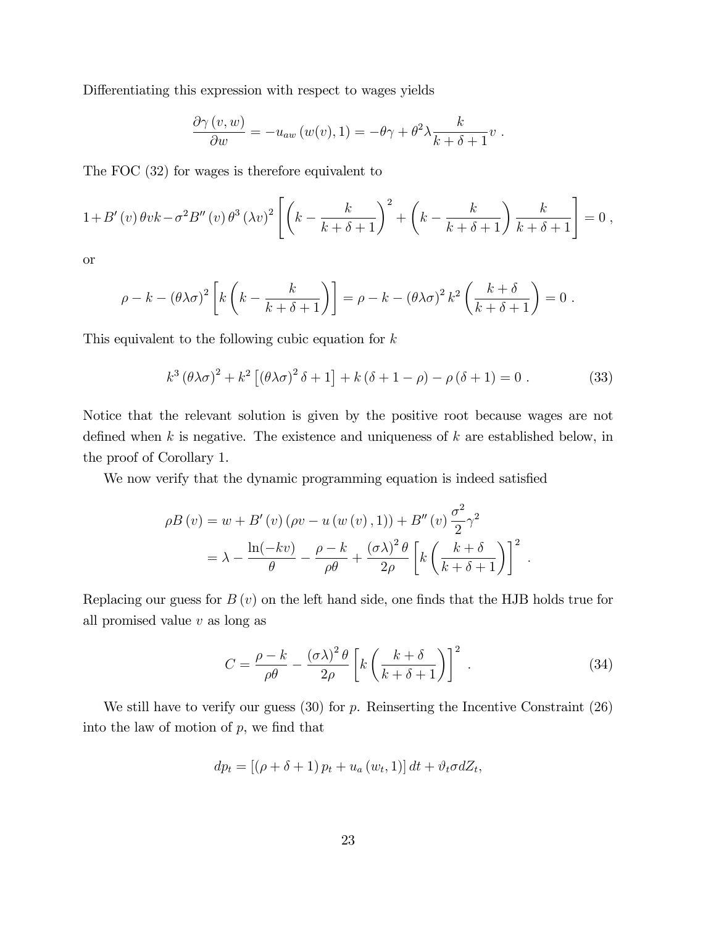Differentiating this expression with respect to wages yields

$$
\frac{\partial \gamma(v,w)}{\partial w} = -u_{aw}(w(v),1) = -\theta \gamma + \theta^2 \lambda \frac{k}{k+\delta+1}v.
$$

The FOC (32) for wages is therefore equivalent to

$$
1+B'(v)\,\theta vk-\sigma^2B''(v)\,\theta^3\,(\lambda v)^2\left[\left(k-\frac{k}{k+\delta+1}\right)^2+\left(k-\frac{k}{k+\delta+1}\right)\frac{k}{k+\delta+1}\right]=0\;,
$$

or

$$
\rho - k - (\theta \lambda \sigma)^2 \left[ k \left( k - \frac{k}{k + \delta + 1} \right) \right] = \rho - k - (\theta \lambda \sigma)^2 k^2 \left( \frac{k + \delta}{k + \delta + 1} \right) = 0.
$$

This equivalent to the following cubic equation for  $k$ 

$$
k^3 \left(\theta \lambda \sigma\right)^2 + k^2 \left[\left(\theta \lambda \sigma\right)^2 \delta + 1\right] + k \left(\delta + 1 - \rho\right) - \rho \left(\delta + 1\right) = 0. \tag{33}
$$

Notice that the relevant solution is given by the positive root because wages are not defined when  $k$  is negative. The existence and uniqueness of  $k$  are established below, in the proof of Corollary 1.

We now verify that the dynamic programming equation is indeed satisfied

$$
\rho B(v) = w + B'(v) (\rho v - u(w(v), 1)) + B''(v) \frac{\sigma^2}{2} \gamma^2
$$
  
=  $\lambda - \frac{\ln(-kv)}{\theta} - \frac{\rho - k}{\rho \theta} + \frac{(\sigma \lambda)^2 \theta}{2\rho} \left[ k \left( \frac{k + \delta}{k + \delta + 1} \right) \right]^2$ .

Replacing our guess for  $B(v)$  on the left hand side, one finds that the HJB holds true for all promised value  $v$  as long as

$$
C = \frac{\rho - k}{\rho \theta} - \frac{(\sigma \lambda)^2 \theta}{2\rho} \left[ k \left( \frac{k + \delta}{k + \delta + 1} \right) \right]^2 \,. \tag{34}
$$

We still have to verify our guess  $(30)$  for p. Reinserting the Incentive Constraint  $(26)$ into the law of motion of  $p$ , we find that

$$
dp_t = [(\rho + \delta + 1) p_t + u_a(w_t, 1)] dt + \vartheta_t \sigma dZ_t,
$$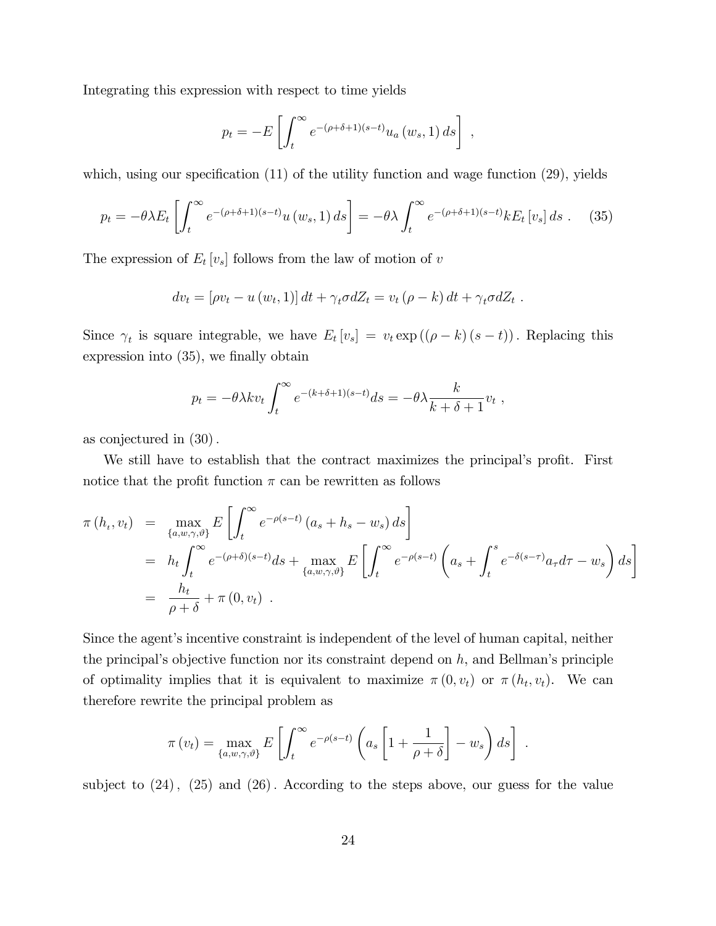Integrating this expression with respect to time yields

$$
p_t = -E\left[\int_t^{\infty} e^{-(\rho+\delta+1)(s-t)} u_a(w_s, 1) ds\right],
$$

which, using our specification  $(11)$  of the utility function and wage function  $(29)$ , yields

$$
p_t = -\theta \lambda E_t \left[ \int_t^{\infty} e^{-(\rho + \delta + 1)(s-t)} u(w_s, 1) ds \right] = -\theta \lambda \int_t^{\infty} e^{-(\rho + \delta + 1)(s-t)} k E_t \left[ v_s \right] ds \tag{35}
$$

The expression of  $E_t[v_s]$  follows from the law of motion of v

$$
dv_t = [\rho v_t - u(w_t, 1)] dt + \gamma_t \sigma dZ_t = v_t (\rho - k) dt + \gamma_t \sigma dZ_t.
$$

Since  $\gamma_t$  is square integrable, we have  $E_t[v_s] = v_t \exp((\rho - k)(s - t))$ . Replacing this expression into  $(35)$ , we finally obtain

$$
p_t = -\theta \lambda k v_t \int_t^{\infty} e^{-(k+\delta+1)(s-t)} ds = -\theta \lambda \frac{k}{k+\delta+1} v_t ,
$$

as conjectured in  $(30)$ .

We still have to establish that the contract maximizes the principal's profit. First notice that the profit function  $\pi$  can be rewritten as follows

$$
\pi(h_t, v_t) = \max_{\{a, w, \gamma, \vartheta\}} E\left[\int_t^{\infty} e^{-\rho(s-t)} (a_s + h_s - w_s) ds\right]
$$
  
\n
$$
= h_t \int_t^{\infty} e^{-(\rho+\delta)(s-t)} ds + \max_{\{a, w, \gamma, \vartheta\}} E\left[\int_t^{\infty} e^{-\rho(s-t)} \left(a_s + \int_t^s e^{-\delta(s-\tau)} a_{\tau} d\tau - w_s\right) ds\right]
$$
  
\n
$$
= \frac{h_t}{\rho+\delta} + \pi(0, v_t) .
$$

Since the agent's incentive constraint is independent of the level of human capital, neither the principal's objective function nor its constraint depend on  $h$ , and Bellman's principle of optimality implies that it is equivalent to maximize  $\pi(0, v_t)$  or  $\pi(h_t, v_t)$ . We can therefore rewrite the principal problem as

$$
\pi(v_t) = \max_{\{a,w,\gamma,\vartheta\}} E\left[\int_t^{\infty} e^{-\rho(s-t)} \left(a_s \left[1 + \frac{1}{\rho + \delta}\right] - w_s\right) ds\right].
$$

subject to  $(24)$ ,  $(25)$  and  $(26)$ . According to the steps above, our guess for the value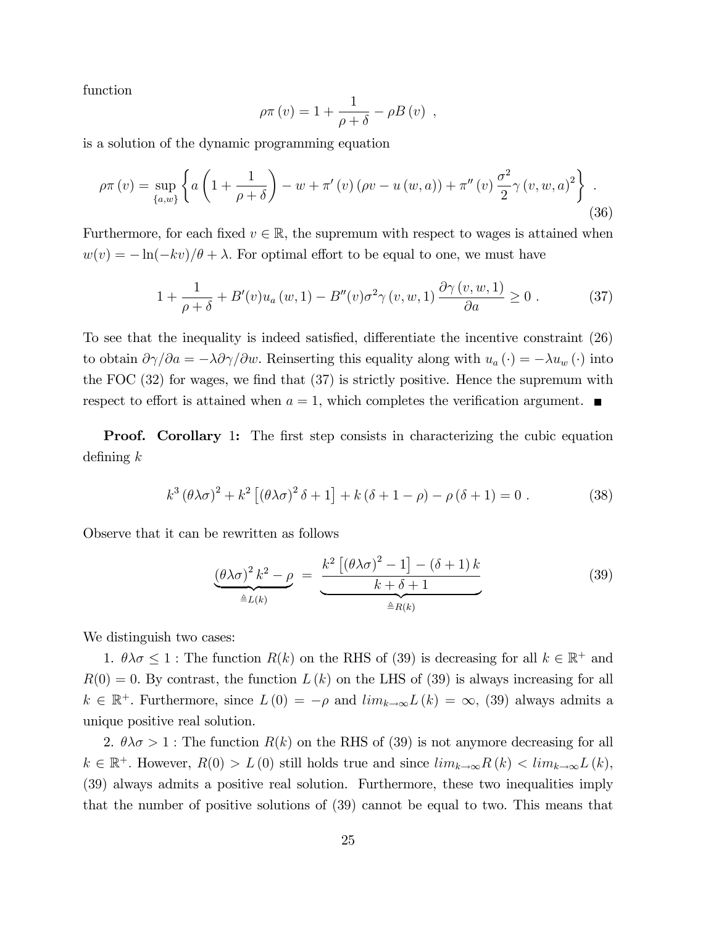function

$$
\rho \pi(v) = 1 + \frac{1}{\rho + \delta} - \rho B(v) ,
$$

is a solution of the dynamic programming equation

$$
\rho \pi(v) = \sup_{\{a,w\}} \left\{ a \left( 1 + \frac{1}{\rho + \delta} \right) - w + \pi'(v) \left( \rho v - u(w,a) \right) + \pi''(v) \frac{\sigma^2}{2} \gamma(v,w,a)^2 \right\} \tag{36}
$$

Furthermore, for each fixed  $v \in \mathbb{R}$ , the supremum with respect to wages is attained when  $w(v) = -\ln(-kv)/\theta + \lambda$ . For optimal effort to be equal to one, we must have

$$
1 + \frac{1}{\rho + \delta} + B'(v)u_a(w, 1) - B''(v)\sigma^2 \gamma(v, w, 1) \frac{\partial \gamma(v, w, 1)}{\partial a} \ge 0.
$$
 (37)

To see that the inequality is indeed satisfied, differentiate the incentive constraint (26) to obtain  $\partial \gamma / \partial a = -\lambda \partial \gamma / \partial w$ . Reinserting this equality along with  $u_a(\cdot) = -\lambda u_w(\cdot)$  into the FOC  $(32)$  for wages, we find that  $(37)$  is strictly positive. Hence the supremum with respect to effort is attained when  $a = 1$ , which completes the verification argument.

**Proof.** Corollary 1: The first step consists in characterizing the cubic equation defining  $k$ 

$$
k^3 \left(\theta \lambda \sigma\right)^2 + k^2 \left[\left(\theta \lambda \sigma\right)^2 \delta + 1\right] + k \left(\delta + 1 - \rho\right) - \rho \left(\delta + 1\right) = 0 \tag{38}
$$

Observe that it can be rewritten as follows

$$
\underbrace{\left(\theta\lambda\sigma\right)^2 k^2 - \rho}_{\triangleq L(k)} = \underbrace{\frac{k^2 \left[\left(\theta\lambda\sigma\right)^2 - 1\right] - \left(\delta + 1\right)k}{k + \delta + 1}}_{\triangleq R(k)} \tag{39}
$$

We distinguish two cases:

1.  $\theta \lambda \sigma \leq 1$ : The function  $R(k)$  on the RHS of (39) is decreasing for all  $k \in \mathbb{R}^+$  and  $R(0) = 0$ . By contrast, the function  $L(k)$  on the LHS of (39) is always increasing for all  $k \in \mathbb{R}^+$ . Furthermore, since  $L(0) = -\rho$  and  $\lim_{k \to \infty} L(k) = \infty$ , (39) always admits a unique positive real solution.

2.  $\theta \lambda \sigma > 1$ : The function  $R(k)$  on the RHS of (39) is not anymore decreasing for all  $k \in \mathbb{R}^+$ . However,  $R(0) > L(0)$  still holds true and since  $\lim_{k \to \infty} R(k) < \lim_{k \to \infty} L(k)$ , (39) always admits a positive real solution. Furthermore, these two inequalities imply that the number of positive solutions of (39) cannot be equal to two. This means that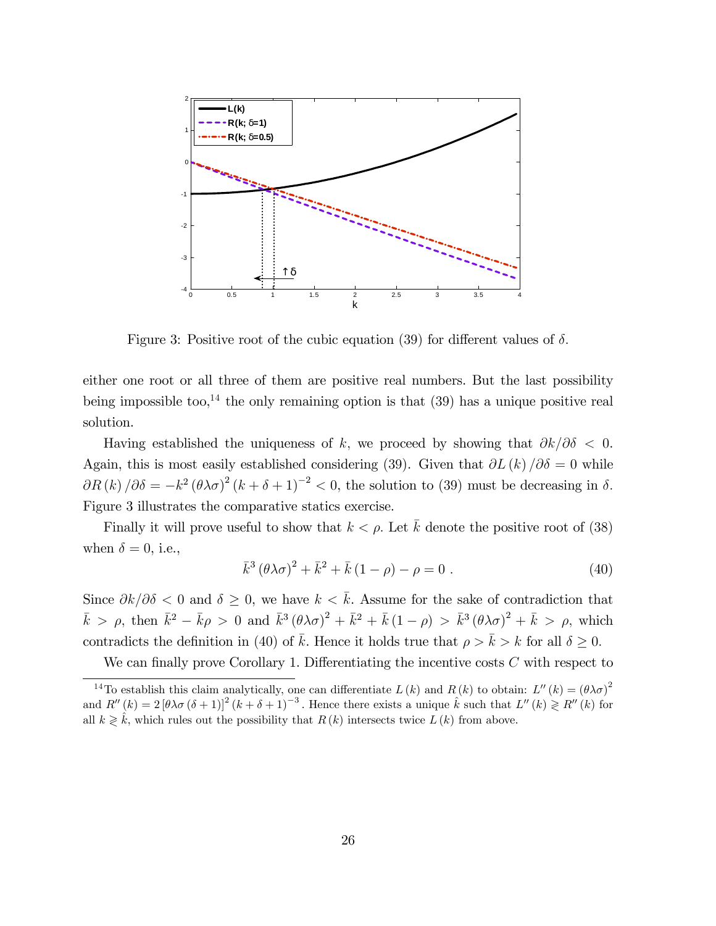

Figure 3: Positive root of the cubic equation (39) for different values of  $\delta$ .

either one root or all three of them are positive real numbers. But the last possibility being impossible too,<sup>14</sup> the only remaining option is that  $(39)$  has a unique positive real solution.

Having established the uniqueness of k, we proceed by showing that  $\partial k/\partial \delta < 0$ . Again, this is most easily established considering (39). Given that  $\partial L(k)/\partial \delta = 0$  while  $\partial R(k)/\partial \delta = -k^2 (\theta \lambda \sigma)^2 (k + \delta + 1)^{-2} < 0$ , the solution to (39) must be decreasing in  $\delta$ . Figure 3 illustrates the comparative statics exercise.

Finally it will prove useful to show that  $k < \rho$ . Let  $\overline{k}$  denote the positive root of (38) when  $\delta = 0$ , i.e.,

$$
\bar{k}^{3} (\theta \lambda \sigma)^{2} + \bar{k}^{2} + \bar{k} (1 - \rho) - \rho = 0.
$$
 (40)

Since  $\partial k/\partial \delta$  < 0 and  $\delta \geq 0$ , we have  $k < \bar{k}$ . Assume for the sake of contradiction that  $\bar{k} > \rho$ , then  $\bar{k}^2 - \bar{k}\rho > 0$  and  $\bar{k}^3 (\theta \lambda \sigma)^2 + \bar{k}^2 + \bar{k} (1 - \rho) > \bar{k}^3 (\theta \lambda \sigma)^2 + \bar{k} > \rho$ , which contradicts the definition in (40) of  $\bar{k}$ . Hence it holds true that  $\rho > \bar{k} > k$  for all  $\delta \geq 0$ .

We can finally prove Corollary 1. Differentiating the incentive costs  $C$  with respect to

<sup>&</sup>lt;sup>14</sup>To establish this claim analytically, one can differentiate  $L(k)$  and  $R(k)$  to obtain:  $L''(k) = (\theta \lambda \sigma)^2$ and  $R''(k) = 2 [\theta \lambda \sigma (\delta + 1)]^2 (k + \delta + 1)^{-3}$ . Hence there exists a unique  $\hat{k}$  such that  $L''(k) \geq R''(k)$  for all  $k \geq k$ , which rules out the possibility that  $R (k)$  intersects twice  $L(k)$  from above.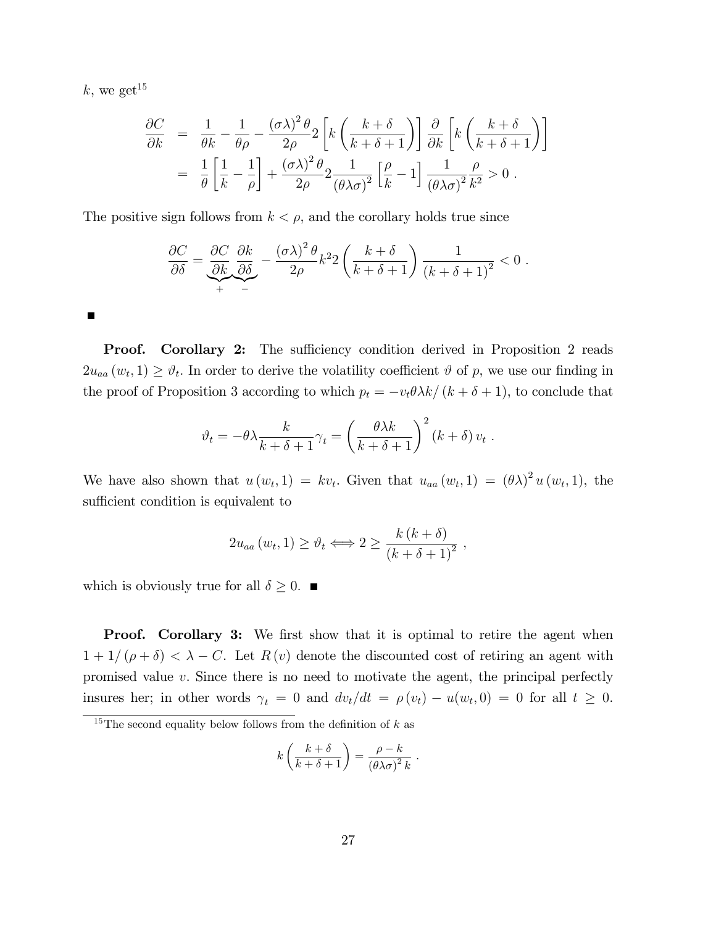$k$ , we get<sup>15</sup>

$$
\frac{\partial C}{\partial k} = \frac{1}{\theta k} - \frac{1}{\theta \rho} - \frac{(\sigma \lambda)^2 \theta}{2\rho} 2 \left[ k \left( \frac{k + \delta}{k + \delta + 1} \right) \right] \frac{\partial}{\partial k} \left[ k \left( \frac{k + \delta}{k + \delta + 1} \right) \right]
$$

$$
= \frac{1}{\theta} \left[ \frac{1}{k} - \frac{1}{\rho} \right] + \frac{(\sigma \lambda)^2 \theta}{2\rho} 2 \frac{1}{(\theta \lambda \sigma)^2} \left[ \frac{\rho}{k} - 1 \right] \frac{1}{(\theta \lambda \sigma)^2} \frac{\rho}{k^2} > 0.
$$

The positive sign follows from  $k < \rho$ , and the corollary holds true since

$$
\frac{\partial C}{\partial \delta} = \underbrace{\frac{\partial C}{\partial k}}_{+} \underbrace{\frac{\partial k}{\partial \delta}}_{-} - \underbrace{\frac{(\sigma \lambda)^2 \theta}{2\rho} k^2 2 \left( \frac{k+\delta}{k+\delta+1} \right)}_{k+\delta+1} \frac{1}{(k+\delta+1)^2} < 0 \; .
$$

Г

**Proof.** Corollary 2: The sufficiency condition derived in Proposition 2 reads  $2u_{aa}(w_t,1) \geq \vartheta_t$ . In order to derive the volatility coefficient  $\vartheta$  of p, we use our finding in the proof of Proposition 3 according to which  $p_t = -v_t \theta \lambda k/(k + \delta + 1)$ , to conclude that

$$
\vartheta_t = -\theta \lambda \frac{k}{k+\delta+1} \gamma_t = \left(\frac{\theta \lambda k}{k+\delta+1}\right)^2 (k+\delta) v_t.
$$

We have also shown that  $u(w_t, 1) = kv_t$ . Given that  $u_{aa}(w_t, 1) = (\theta \lambda)^2 u(w_t, 1)$ , the sufficient condition is equivalent to

$$
2u_{aa}(w_t, 1) \ge \vartheta_t \Longleftrightarrow 2 \ge \frac{k(k+\delta)}{(k+\delta+1)^2},
$$

which is obviously true for all  $\delta \geq 0$ .

**Proof.** Corollary 3: We first show that it is optimal to retire the agent when  $1 + 1/(\rho + \delta) < \lambda - C$ . Let  $R(v)$  denote the discounted cost of retiring an agent with promised value  $v$ . Since there is no need to motivate the agent, the principal perfectly insures her; in other words  $\gamma_t = 0$  and  $dv_t/dt = \rho(v_t) - u(w_t, 0) = 0$  for all  $t \geq 0$ .

$$
k\left(\frac{k+\delta}{k+\delta+1}\right) = \frac{\rho-k}{\left(\theta\lambda\sigma\right)^2 k}.
$$

<sup>&</sup>lt;sup>15</sup>The second equality below follows from the definition of  $k$  as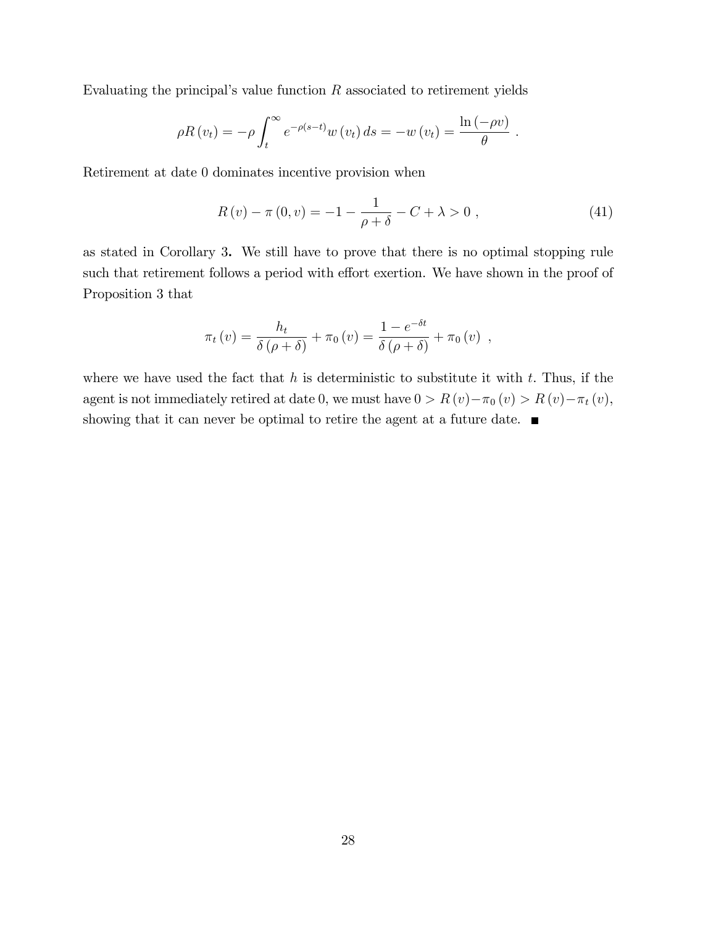Evaluating the principal's value function  $R$  associated to retirement yields

$$
\rho R(v_t) = -\rho \int_t^{\infty} e^{-\rho(s-t)} w(v_t) ds = -w(v_t) = \frac{\ln(-\rho v)}{\theta}.
$$

Retirement at date 0 dominates incentive provision when

$$
R(v) - \pi(0, v) = -1 - \frac{1}{\rho + \delta} - C + \lambda > 0 , \qquad (41)
$$

as stated in Corollary 3. We still have to prove that there is no optimal stopping rule such that retirement follows a period with effort exertion. We have shown in the proof of Proposition 3 that

$$
\pi_t(v) = \frac{h_t}{\delta(\rho+\delta)} + \pi_0(v) = \frac{1-e^{-\delta t}}{\delta(\rho+\delta)} + \pi_0(v) ,
$$

where we have used the fact that  $h$  is deterministic to substitute it with  $t$ . Thus, if the agent is not immediately retired at date 0, we must have  $0 > R(v) - \pi_0(v) > R(v) - \pi_t(v)$ , showing that it can never be optimal to retire the agent at a future date.  $\blacksquare$